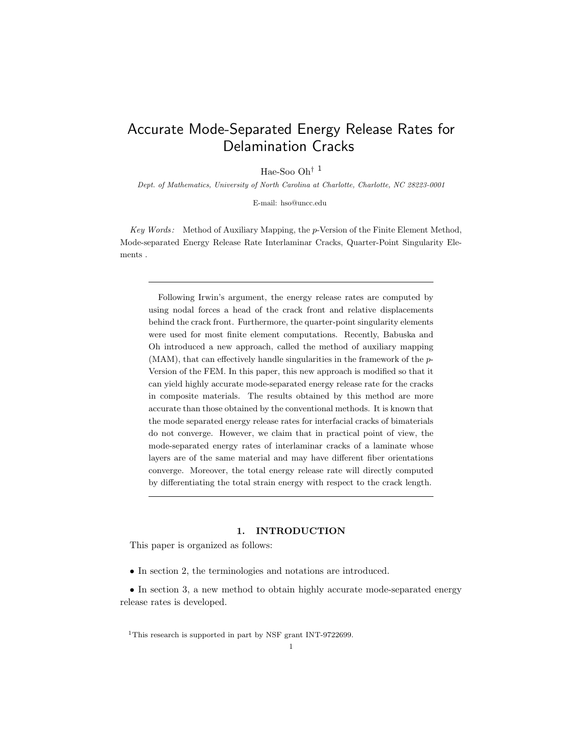# Accurate Mode-Separated Energy Release Rates for Delamination Cracks

Hae-Soo Oh† <sup>1</sup>

Dept. of Mathematics, University of North Carolina at Charlotte, Charlotte, NC 28223-0001

E-mail: hso@uncc.edu

Key Words: Method of Auxiliary Mapping, the p-Version of the Finite Element Method, Mode-separated Energy Release Rate Interlaminar Cracks, Quarter-Point Singularity Elements .

Following Irwin's argument, the energy release rates are computed by using nodal forces a head of the crack front and relative displacements behind the crack front. Furthermore, the quarter-point singularity elements were used for most finite element computations. Recently, Babuska and Oh introduced a new approach, called the method of auxiliary mapping  $(MAM)$ , that can effectively handle singularities in the framework of the  $p$ -Version of the FEM. In this paper, this new approach is modified so that it can yield highly accurate mode-separated energy release rate for the cracks in composite materials. The results obtained by this method are more accurate than those obtained by the conventional methods. It is known that the mode separated energy release rates for interfacial cracks of bimaterials do not converge. However, we claim that in practical point of view, the mode-separated energy rates of interlaminar cracks of a laminate whose layers are of the same material and may have different fiber orientations converge. Moreover, the total energy release rate will directly computed by differentiating the total strain energy with respect to the crack length.

# 1. INTRODUCTION

This paper is organized as follows:

• In section 2, the terminologies and notations are introduced.

• In section 3, a new method to obtain highly accurate mode-separated energy release rates is developed.

<sup>1</sup>This research is supported in part by NSF grant INT-9722699.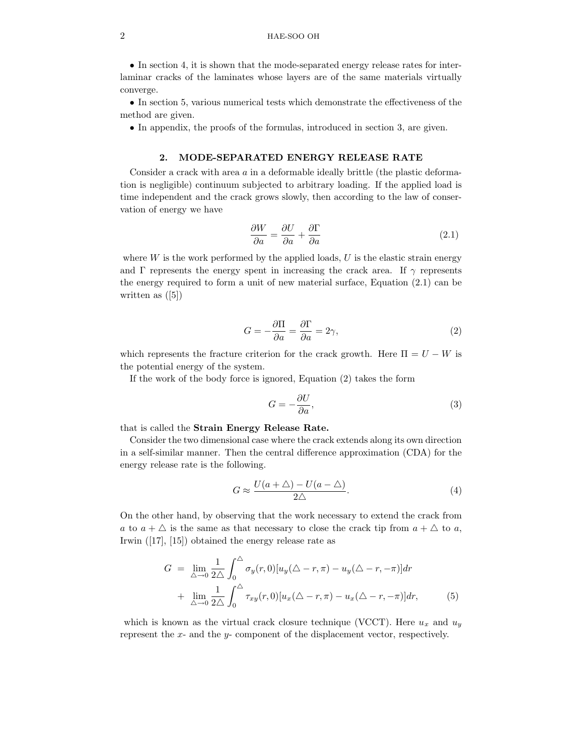# 2 HAE-SOO OH

• In section 4, it is shown that the mode-separated energy release rates for interlaminar cracks of the laminates whose layers are of the same materials virtually converge.

• In section 5, various numerical tests which demonstrate the effectiveness of the method are given.

• In appendix, the proofs of the formulas, introduced in section 3, are given.

# 2. MODE-SEPARATED ENERGY RELEASE RATE

Consider a crack with area a in a deformable ideally brittle (the plastic deformation is negligible) continuum subjected to arbitrary loading. If the applied load is time independent and the crack grows slowly, then according to the law of conservation of energy we have

$$
\frac{\partial W}{\partial a} = \frac{\partial U}{\partial a} + \frac{\partial \Gamma}{\partial a} \tag{2.1}
$$

where  $W$  is the work performed by the applied loads,  $U$  is the elastic strain energy and Γ represents the energy spent in increasing the crack area. If  $\gamma$  represents the energy required to form a unit of new material surface, Equation (2.1) can be written as ([5])

$$
G = -\frac{\partial \Pi}{\partial a} = \frac{\partial \Gamma}{\partial a} = 2\gamma,\tag{2}
$$

which represents the fracture criterion for the crack growth. Here  $\Pi = U - W$  is the potential energy of the system.

If the work of the body force is ignored, Equation (2) takes the form

$$
G = -\frac{\partial U}{\partial a},\tag{3}
$$

that is called the Strain Energy Release Rate.

Consider the two dimensional case where the crack extends along its own direction in a self-similar manner. Then the central difference approximation (CDA) for the energy release rate is the following.

$$
G \approx \frac{U(a+\Delta) - U(a-\Delta)}{2\Delta}.
$$
 (4)

On the other hand, by observing that the work necessary to extend the crack from a to  $a + \triangle$  is the same as that necessary to close the crack tip from  $a + \triangle$  to a, Irwin ([17], [15]) obtained the energy release rate as

$$
G = \lim_{\Delta \to 0} \frac{1}{2\Delta} \int_0^{\Delta} \sigma_y(r,0) [u_y(\Delta - r, \pi) - u_y(\Delta - r, -\pi)] dr
$$
  
+ 
$$
\lim_{\Delta \to 0} \frac{1}{2\Delta} \int_0^{\Delta} \tau_{xy}(r,0) [u_x(\Delta - r, \pi) - u_x(\Delta - r, -\pi)] dr,
$$
(5)

which is known as the virtual crack closure technique (VCCT). Here  $u_x$  and  $u_y$ represent the x- and the y- component of the displacement vector, respectively.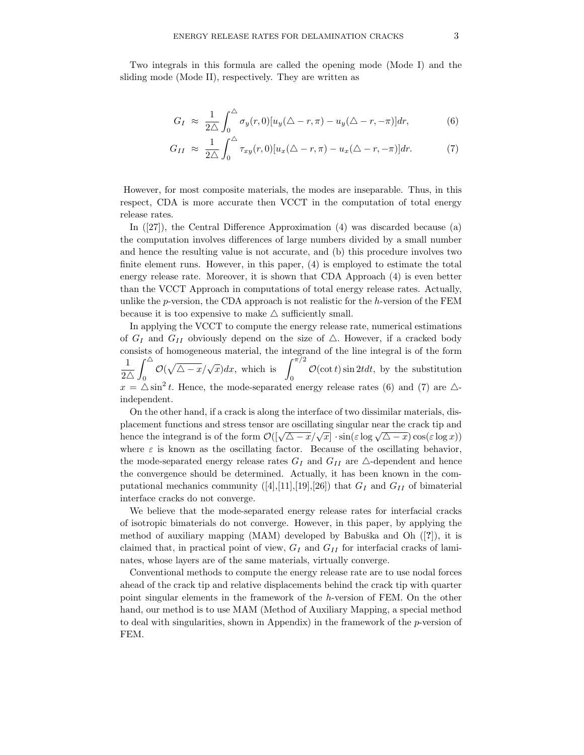Two integrals in this formula are called the opening mode (Mode I) and the sliding mode (Mode II), respectively. They are written as

$$
G_I \approx \frac{1}{2\Delta} \int_0^{\Delta} \sigma_y(r,0) [u_y(\Delta - r, \pi) - u_y(\Delta - r, -\pi)] dr, \tag{6}
$$

$$
G_{II} \approx \frac{1}{2\Delta} \int_0^{\Delta} \tau_{xy}(r,0) [u_x(\Delta - r, \pi) - u_x(\Delta - r, -\pi)] dr.
$$
 (7)

However, for most composite materials, the modes are inseparable. Thus, in this respect, CDA is more accurate then VCCT in the computation of total energy release rates.

In ([27]), the Central Difference Approximation (4) was discarded because (a) the computation involves differences of large numbers divided by a small number and hence the resulting value is not accurate, and (b) this procedure involves two finite element runs. However, in this paper, (4) is employed to estimate the total energy release rate. Moreover, it is shown that CDA Approach (4) is even better than the VCCT Approach in computations of total energy release rates. Actually, unlike the p-version, the CDA approach is not realistic for the h-version of the FEM because it is too expensive to make  $\triangle$  sufficiently small.

In applying the VCCT to compute the energy release rate, numerical estimations of  $G_I$  and  $G_{II}$  obviously depend on the size of  $\Delta$ . However, if a cracked body consists of homogeneous material, the integrand of the line integral is of the form 1  $2\triangle$  $\int^{\triangle}$  $\int_0^\Delta \mathcal{O}(\sqrt{\Delta-x}/\sqrt{x})dx$ , which is  $\int_0^{\pi/2}$  $\mathcal{O}(\cot t) \sin 2t dt$ , by the substitution  $x = \Delta \sin^2 t$ . Hence, the mode-separated energy release rates (6) and (7) are  $\Delta$ independent.

On the other hand, if a crack is along the interface of two dissimilar materials, displacement functions and stress tensor are oscillating singular near the crack tip and hence the integrand is of the form  $\mathcal{O}(\sqrt{\Delta-x}/\sqrt{x}) \cdot \sin(\varepsilon \log \sqrt{\Delta-x}) \cos(\varepsilon \log x))$ where  $\varepsilon$  is known as the oscillating factor. Because of the oscillating behavior, the mode-separated energy release rates  $G_I$  and  $G_{II}$  are  $\triangle$ -dependent and hence the convergence should be determined. Actually, it has been known in the computational mechanics community  $([4],[11],[19],[26])$  that  $G_I$  and  $G_{II}$  of bimaterial interface cracks do not converge.

We believe that the mode-separated energy release rates for interfacial cracks of isotropic bimaterials do not converge. However, in this paper, by applying the method of auxiliary mapping  $(MAM)$  developed by Babuška and Oh  $([?])$ , it is claimed that, in practical point of view,  $G_I$  and  $G_{II}$  for interfacial cracks of laminates, whose layers are of the same materials, virtually converge.

Conventional methods to compute the energy release rate are to use nodal forces ahead of the crack tip and relative displacements behind the crack tip with quarter point singular elements in the framework of the h-version of FEM. On the other hand, our method is to use MAM (Method of Auxiliary Mapping, a special method to deal with singularities, shown in Appendix) in the framework of the  $p$ -version of FEM.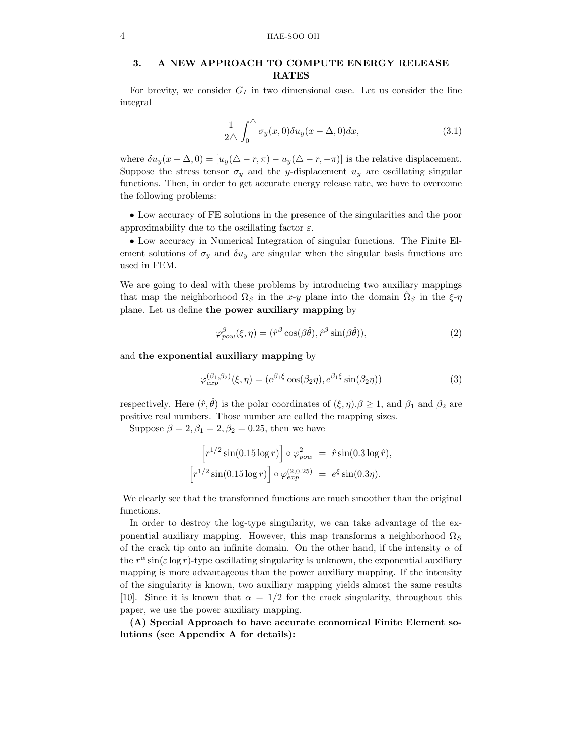# 3. A NEW APPROACH TO COMPUTE ENERGY RELEASE RATES

For brevity, we consider  $G_I$  in two dimensional case. Let us consider the line integral

$$
\frac{1}{2\Delta} \int_0^{\Delta} \sigma_y(x,0) \delta u_y(x-\Delta,0) dx, \tag{3.1}
$$

where  $\delta u_y(x-\Delta,0) = [u_y(\Delta-r,\pi) - u_y(\Delta-r,-\pi)]$  is the relative displacement. Suppose the stress tensor  $\sigma_y$  and the y-displacement  $u_y$  are oscillating singular functions. Then, in order to get accurate energy release rate, we have to overcome the following problems:

• Low accuracy of FE solutions in the presence of the singularities and the poor approximability due to the oscillating factor  $\varepsilon$ .

• Low accuracy in Numerical Integration of singular functions. The Finite Element solutions of  $\sigma_y$  and  $\delta u_y$  are singular when the singular basis functions are used in FEM.

We are going to deal with these problems by introducing two auxiliary mappings that map the neighborhood  $\Omega_S$  in the x-y plane into the domain  $\hat{\Omega}_S$  in the  $\xi$ - $\eta$ plane. Let us define the power auxiliary mapping by

$$
\varphi_{pow}^{\beta}(\xi, \eta) = (\hat{r}^{\beta} \cos(\beta \hat{\theta}), \hat{r}^{\beta} \sin(\beta \hat{\theta})), \tag{2}
$$

and the exponential auxiliary mapping by

$$
\varphi_{exp}^{(\beta_1, \beta_2)}(\xi, \eta) = (e^{\beta_1 \xi} \cos(\beta_2 \eta), e^{\beta_1 \xi} \sin(\beta_2 \eta))
$$
\n(3)

respectively. Here  $(\hat{r}, \hat{\theta})$  is the polar coordinates of  $(\xi, \eta) \cdot \beta \geq 1$ , and  $\beta_1$  and  $\beta_2$  are positive real numbers. Those number are called the mapping sizes.

Suppose  $\beta = 2, \beta_1 = 2, \beta_2 = 0.25$ , then we have

$$
\[ r^{1/2} \sin(0.15 \log r) \]circ \varphi_{pow}^2 = \hat{r} \sin(0.3 \log \hat{r}), \[ r^{1/2} \sin(0.15 \log r) \]circ \varphi_{exp}^{(2,0.25)} = e^{\xi} \sin(0.3\eta).
$$

We clearly see that the transformed functions are much smoother than the original functions.

In order to destroy the log-type singularity, we can take advantage of the exponential auxiliary mapping. However, this map transforms a neighborhood  $\Omega_S$ of the crack tip onto an infinite domain. On the other hand, if the intensity  $\alpha$  of the  $r^{\alpha}$  sin( $\varepsilon$  log r)-type oscillating singularity is unknown, the exponential auxiliary mapping is more advantageous than the power auxiliary mapping. If the intensity of the singularity is known, two auxiliary mapping yields almost the same results [10]. Since it is known that  $\alpha = 1/2$  for the crack singularity, throughout this paper, we use the power auxiliary mapping.

(A) Special Approach to have accurate economical Finite Element solutions (see Appendix A for details):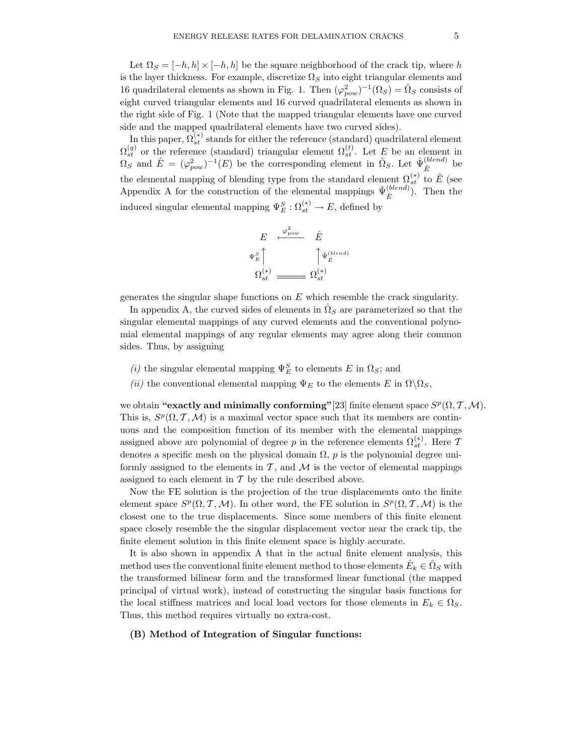Let  $\Omega_S = [-h, h] \times [-h, h]$  be the square neighborhood of the crack tip, where h is the layer thickness. For example, discretize  $\Omega_S$  into eight triangular elements and 16 quadrilateral elements as shown in Fig. 1. Then  $(\varphi_{pow}^2)^{-1}(\Omega_S) = \hat{\Omega}_S$  consists of eight curved triangular elements and 16 curved quadrilateral elements as shown in the right side of Fig. 1 (Note that the mapped triangular elements have one curved side and the mapped quadrilateral elements have two curved sides).

In this paper,  $\Omega_{st}^{(*)}$  stands for either the reference (standard) quadrilateral element  $\Omega_{st}^{(q)}$  or the reference (standard) triangular element  $\Omega_{st}^{(t)}$ . Let E be an element in  $\Omega_S$  and  $\hat{E} = (\varphi_{pow}^2)^{-1}(E)$  be the corresponding element in  $\hat{\Omega}_S$ . Let  $\hat{\Psi}_{\hat{E}}^{(blend)}$  $\hat{E}$  be the elemental mapping of blending type from the standard element  $\Omega_{st}^{(*)}$  to  $\hat{E}$  (see Appendix A for the construction of the elemental mappings  $\hat{\Psi}_{\hat{\nu}}^{(blend)}$  $(\stackrel{(otena)}{\hat{E}})$ . Then the induced singular elemental mapping  $\Psi_E^S : \Omega_{st}^{(*)} \to E$ , defined by

$$
E \xleftarrow{\varphi_{pow}^2} \hat{E}
$$
  

$$
\Psi_{E}^S \uparrow
$$
  

$$
\Omega_{st}^{(*)}
$$
  

$$
\longrightarrow \Omega_{st}^{(*)}
$$

generates the singular shape functions on  $E$  which resemble the crack singularity.

In appendix A, the curved sides of elements in  $\hat{\Omega}_S$  are parameterized so that the singular elemental mappings of any curved elements and the conventional polynomial elemental mappings of any regular elements may agree along their common sides. Thus, by assigning

- (i) the singular elemental mapping  $\Psi_E^S$  to elements E in  $\Omega_S$ ; and
- (ii) the conventional elemental mapping  $\Psi_E$  to the elements E in  $\Omega \backslash \Omega_S$ ,

we obtain "exactly and minimally conforming" [23] finite element space  $S^p(\Omega, \mathcal{T}, \mathcal{M})$ . This is,  $S^p(\Omega, \mathcal{T}, \mathcal{M})$  is a maximal vector space such that its members are continuous and the composition function of its member with the elemental mappings assigned above are polynomial of degree  $p$  in the reference elements  $\Omega_{st}^{(*)}$ . Here  $\mathcal{I}$ denotes a specific mesh on the physical domain  $\Omega$ , p is the polynomial degree uniformly assigned to the elements in  $\mathcal{T}$ , and  $\mathcal{M}$  is the vector of elemental mappings assigned to each element in  $T$  by the rule described above.

Now the FE solution is the projection of the true displacements onto the finite element space  $S^p(\Omega, \mathcal{T}, \mathcal{M})$ . In other word, the FE solution in  $S^p(\Omega, \mathcal{T}, \mathcal{M})$  is the closest one to the true displacements. Since some members of this finite element space closely resemble the the singular displacement vector near the crack tip, the finite element solution in this finite element space is highly accurate.

It is also shown in appendix A that in the actual finite element analysis, this method uses the conventional finite element method to those elements  $\hat{E}_k \in \hat{\Omega}_S$  with the transformed bilinear form and the transformed linear functional (the mapped principal of virtual work), instead of constructing the singular basis functions for the local stiffness matrices and local load vectors for those elements in  $E_k \in \Omega_S$ . Thus, this method requires virtually no extra-cost.

## (B) Method of Integration of Singular functions: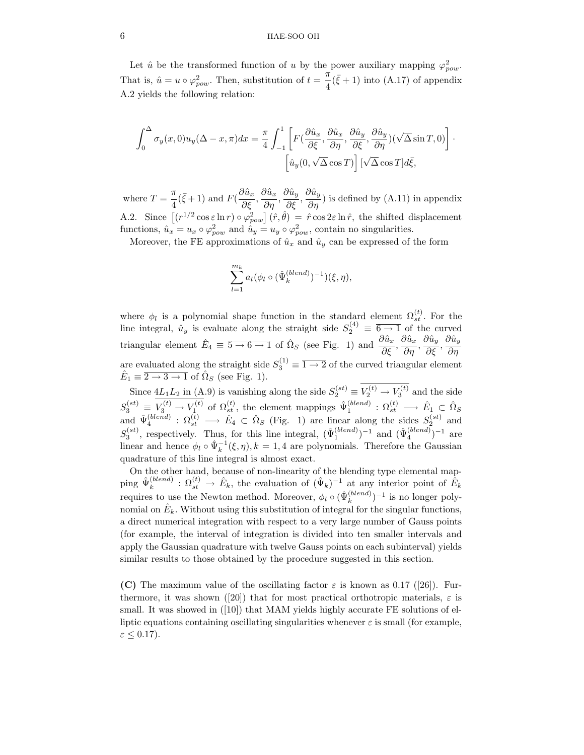# 6 HAE-SOO OH

Let  $\hat{u}$  be the transformed function of u by the power auxiliary mapping  $\varphi_{pow}^2$ . That is,  $\hat{u} = u \circ \varphi_{pow}^2$ . Then, substitution of  $t = \frac{\pi}{4}$  $\frac{\pi}{4}(\bar{\xi}+1)$  into (A.17) of appendix A.2 yields the following relation:

$$
\int_0^{\Delta} \sigma_y(x,0) u_y(\Delta - x, \pi) dx = \frac{\pi}{4} \int_{-1}^1 \left[ F(\frac{\partial \hat{u}_x}{\partial \xi}, \frac{\partial \hat{u}_x}{\partial \eta}, \frac{\partial \hat{u}_y}{\partial \xi}, \frac{\partial \hat{u}_y}{\partial \eta}) (\sqrt{\Delta} \sin T, 0) \right] \cdot \left[ \hat{u}_y(0, \sqrt{\Delta} \cos T) \right] [\sqrt{\Delta} \cos T] d\bar{\xi},
$$

where  $T = \frac{\pi}{4}$  $\frac{\pi}{4}(\bar{\xi}+1)$  and  $F(\frac{\partial \hat{u}_x}{\partial \xi})$  $\frac{\partial \hat{u}_x}{\partial \xi}, \frac{\partial \hat{u}_x}{\partial \eta}$  $\frac{\partial \hat{u}_x}{\partial \eta}, \frac{\partial \hat{u}_y}{\partial \xi}$  $\frac{\partial \hat{u}_y}{\partial \xi}, \frac{\partial \hat{u}_y}{\partial \eta}$  $\frac{\partial u_y}{\partial \eta}$ ) is defined by (A.11) in appendix A.2. Since  $[(r^{1/2}\cos\epsilon\ln r)\circ\varphi_{pow}^2](\hat{r},\hat{\theta}) = \hat{r}\cos 2\epsilon\ln \hat{r}$ , the shifted displacement functions,  $\hat{u}_x = u_x \circ \varphi_{pow}^2$  and  $\hat{u}_y = u_y \circ \varphi_{pow}^2$ , contain no singularities.

Moreover, the FE approximations of  $\hat{u}_x$  and  $\hat{u}_y$  can be expressed of the form

$$
\sum_{l=1}^{m_k} a_l (\phi_l \circ (\hat{\Psi}_k^{(blend)})^{-1})(\xi, \eta),
$$

where  $\phi_l$  is a polynomial shape function in the standard element  $\Omega_{st}^{(t)}$ . For the line integral,  $\hat{u}_y$  is evaluate along the straight side  $S_2^{(4)} \equiv \overline{6 \rightarrow 1}$  of the curved triangular element  $\hat{E}_4 \equiv \overline{5 \to 6 \to 1}$  of  $\hat{\Omega}_S$  (see Fig. 1) and  $\frac{\partial \hat{u}_x}{\partial \xi}, \frac{\partial \hat{u}_x}{\partial \eta}$  $\frac{\partial \hat{u}_x}{\partial \eta}, \frac{\partial \hat{u}_y}{\partial \xi}$  $\frac{\partial \hat{u}_y}{\partial \xi}, \frac{\partial \hat{u}_y}{\partial \eta}$ ∂η are evaluated along the straight side  $S_3^{(1)} \equiv \overline{1 \rightarrow 2}$  of the curved triangular element  $\hat{E}_1 \equiv \overline{2 \rightarrow 3 \rightarrow 1}$  of  $\hat{\Omega}_S$  (see Fig. 1).

Since  $4L_1L_2$  in (A.9) is vanishing along the side  $S_2^{(st)} \equiv V_2^{(t)} \to V_3^{(t)}$  and the side  $S_3^{(st)} \equiv V_3^{(t)} \rightarrow V_1^{(t)}$  of  $\Omega_{st}^{(t)}$ , the element mappings  $\hat{\Psi}_1^{(blend)} : \Omega_{st}^{(t)} \rightarrow \hat{E}_1 \subset \hat{\Omega}_S$ <br>and  $\hat{\Psi}_4^{(blend)} : \Omega_{st}^{(t)} \rightarrow \hat{E}_4 \subset \hat{\Omega}_S$  (Fig. 1) are linear along the sides  $S_2^{(st)}$  and  $S_3^{(st)}$ , respectively. Thus, for this line integral,  $(\hat{\Psi}_1^{(blend)})^{-1}$  and  $(\hat{\Psi}_4^{(blend)})^{-1}$  are linear and hence  $\phi_l \circ \hat{\Psi}_k^{-1}(\xi, \eta), k = 1, 4$  are polynomials. Therefore the Gaussian quadrature of this line integral is almost exact.

On the other hand, because of non-linearity of the blending type elemental mapping  $\hat{\Psi}_k^{(blend)}$  $\hat{k}_{k}^{(bend)}$ :  $\Omega_{st}^{(t)} \to \hat{E}_{k}$ , the evaluation of  $(\hat{\Psi}_{k})^{-1}$  at any interior point of  $\hat{E}_{k}$ requires to use the Newton method. Moreover,  $\phi_l \circ (\hat{\Psi}_k^{(blend)})$  $\binom{(blend)}{k}$ <sup>-1</sup> is no longer polynomial on  $\hat{E}_k$ . Without using this substitution of integral for the singular functions, a direct numerical integration with respect to a very large number of Gauss points (for example, the interval of integration is divided into ten smaller intervals and apply the Gaussian quadrature with twelve Gauss points on each subinterval) yields similar results to those obtained by the procedure suggested in this section.

(C) The maximum value of the oscillating factor  $\varepsilon$  is known as 0.17 ([26]). Furthermore, it was shown ([20]) that for most practical orthotropic materials,  $\varepsilon$  is small. It was showed in ([10]) that MAM yields highly accurate FE solutions of elliptic equations containing oscillating singularities whenever  $\varepsilon$  is small (for example,  $\varepsilon \leq 0.17$ ).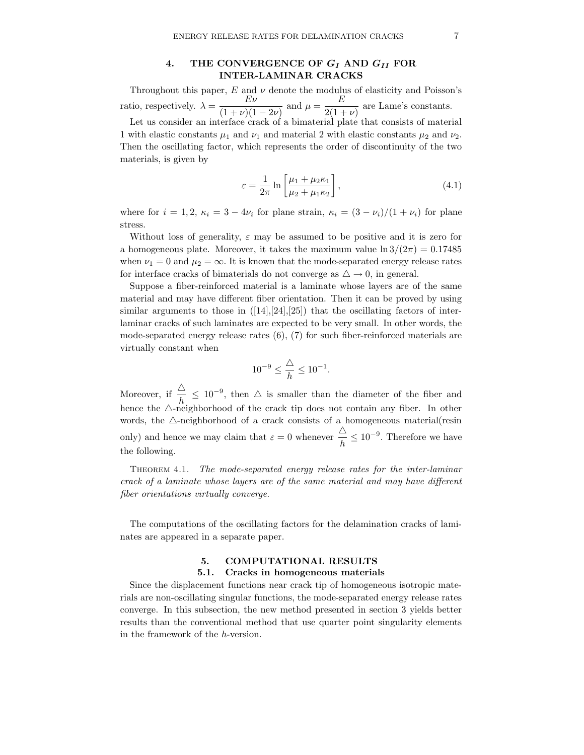# 4. THE CONVERGENCE OF  $G_I$  AND  $G_{II}$  FOR INTER-LAMINAR CRACKS

Throughout this paper,  $E$  and  $\nu$  denote the modulus of elasticity and Poisson's ratio, respectively.  $\lambda = \frac{E\nu}{(1 + \lambda)(1 + \lambda)}$  $\frac{E\nu}{(1+\nu)(1-2\nu)}$  and  $\mu = \frac{E}{2(1+\nu)}$  $\frac{2}{2(1+\nu)}$  are Lame's constants. Let us consider an interface crack of a bimaterial plate that consists of material 1 with elastic constants  $\mu_1$  and  $\nu_1$  and material 2 with elastic constants  $\mu_2$  and  $\nu_2$ . Then the oscillating factor, which represents the order of discontinuity of the two materials, is given by

$$
\varepsilon = \frac{1}{2\pi} \ln \left[ \frac{\mu_1 + \mu_2 \kappa_1}{\mu_2 + \mu_1 \kappa_2} \right],\tag{4.1}
$$

where for  $i = 1, 2, \kappa_i = 3 - 4\nu_i$  for plane strain,  $\kappa_i = (3 - \nu_i)/(1 + \nu_i)$  for plane stress.

Without loss of generality,  $\varepsilon$  may be assumed to be positive and it is zero for a homogeneous plate. Moreover, it takes the maximum value  $\ln 3/(2\pi) = 0.17485$ when  $\nu_1 = 0$  and  $\mu_2 = \infty$ . It is known that the mode-separated energy release rates for interface cracks of bimaterials do not converge as  $\triangle \rightarrow 0$ , in general.

Suppose a fiber-reinforced material is a laminate whose layers are of the same material and may have different fiber orientation. Then it can be proved by using similar arguments to those in  $([14],[24],[25])$  that the oscillating factors of interlaminar cracks of such laminates are expected to be very small. In other words, the mode-separated energy release rates (6), (7) for such fiber-reinforced materials are virtually constant when

$$
10^{-9}\leq\frac{\triangle}{h}\leq10^{-1}.
$$

Moreover, if  $\frac{\Delta}{h} \leq 10^{-9}$ , then  $\Delta$  is smaller than the diameter of the fiber and hence the  $\triangle$ -neighborhood of the crack tip does not contain any fiber. In other words, the  $\triangle$ -neighborhood of a crack consists of a homogeneous material(resin only) and hence we may claim that  $\varepsilon = 0$  whenever  $\frac{\Delta}{l}$  $\frac{\Delta}{h} \leq 10^{-9}$ . Therefore we have the following.

Theorem 4.1. The mode-separated energy release rates for the inter-laminar crack of a laminate whose layers are of the same material and may have different fiber orientations virtually converge.

The computations of the oscillating factors for the delamination cracks of laminates are appeared in a separate paper.

# 5. COMPUTATIONAL RESULTS

# 5.1. Cracks in homogeneous materials

Since the displacement functions near crack tip of homogeneous isotropic materials are non-oscillating singular functions, the mode-separated energy release rates converge. In this subsection, the new method presented in section 3 yields better results than the conventional method that use quarter point singularity elements in the framework of the h-version.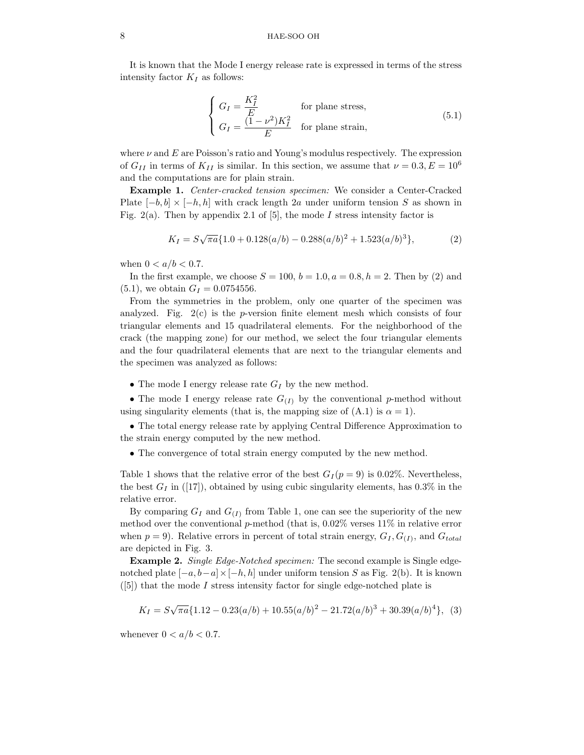# 8 HAE-SOO OH

It is known that the Mode I energy release rate is expressed in terms of the stress intensity factor  $K_I$  as follows:

$$
\begin{cases}\nG_I = \frac{K_I^2}{E} & \text{for plane stress,} \\
G_I = \frac{(1 - \nu^2)K_I^2}{E} & \text{for plane strain,}\n\end{cases}
$$
\n(5.1)

where  $\nu$  and  $E$  are Poisson's ratio and Young's modulus respectively. The expression of  $G_{II}$  in terms of  $K_{II}$  is similar. In this section, we assume that  $\nu = 0.3, E = 10^6$ and the computations are for plain strain.

Example 1. Center-cracked tension specimen: We consider a Center-Cracked Plate  $[-b, b] \times [-h, h]$  with crack length 2a under uniform tension S as shown in Fig. 2(a). Then by appendix 2.1 of [5], the mode I stress intensity factor is

$$
K_I = S\sqrt{\pi a} \{1.0 + 0.128(a/b) - 0.288(a/b)^2 + 1.523(a/b)^3\},\tag{2}
$$

when  $0 < a/b < 0.7$ .

In the first example, we choose  $S = 100$ ,  $b = 1.0$ ,  $a = 0.8$ ,  $h = 2$ . Then by (2) and  $(5.1)$ , we obtain  $G_I = 0.0754556$ .

From the symmetries in the problem, only one quarter of the specimen was analyzed. Fig.  $2(c)$  is the *p*-version finite element mesh which consists of four triangular elements and 15 quadrilateral elements. For the neighborhood of the crack (the mapping zone) for our method, we select the four triangular elements and the four quadrilateral elements that are next to the triangular elements and the specimen was analyzed as follows:

• The mode I energy release rate  $G_I$  by the new method.

• The mode I energy release rate  $G_{(I)}$  by the conventional p-method without using singularity elements (that is, the mapping size of  $(A.1)$  is  $\alpha = 1$ ).

• The total energy release rate by applying Central Difference Approximation to the strain energy computed by the new method.

• The convergence of total strain energy computed by the new method.

Table 1 shows that the relative error of the best  $G_I (p = 9)$  is 0.02%. Nevertheless, the best  $G_I$  in ([17]), obtained by using cubic singularity elements, has 0.3% in the relative error.

By comparing  $G_I$  and  $G_{(I)}$  from Table 1, one can see the superiority of the new method over the conventional p-method (that is, 0.02% verses 11% in relative error when  $p = 9$ ). Relative errors in percent of total strain energy,  $G_I, G_{(I)}$ , and  $G_{total}$ are depicted in Fig. 3.

Example 2. Single Edge-Notched specimen: The second example is Single edgenotched plate  $[-a, b-a] \times [-h, h]$  under uniform tension S as Fig. 2(b). It is known  $([5])$  that the mode I stress intensity factor for single edge-notched plate is

$$
K_I = S\sqrt{\pi a} \{1.12 - 0.23(a/b) + 10.55(a/b)^2 - 21.72(a/b)^3 + 30.39(a/b)^4\},
$$
 (3)

whenever  $0 < a/b < 0.7$ .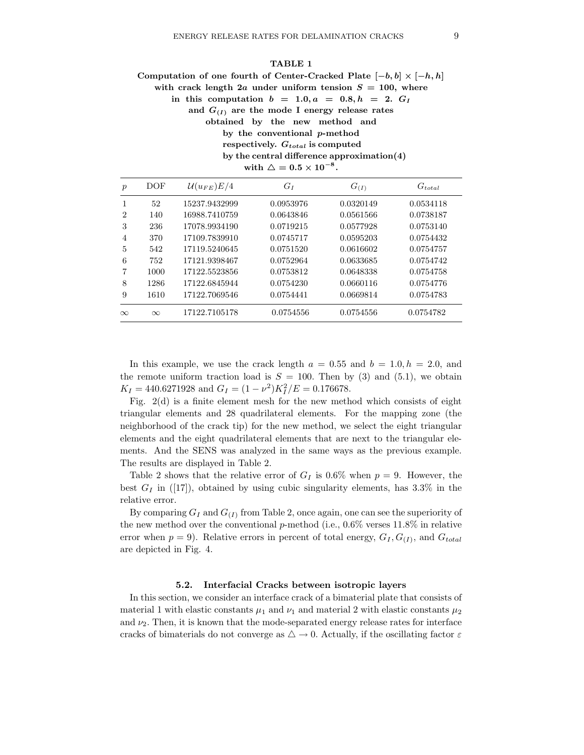$TATB1$ 

|     | TABLE I                                                                    |
|-----|----------------------------------------------------------------------------|
|     | Computation of one fourth of Center-Cracked Plate $[-b, b] \times [-h, h]$ |
|     | with crack length 2a under uniform tension $S = 100$ , where               |
|     | in this computation $b = 1.0, a = 0.8, h = 2, GI$                          |
|     | and $G_{(I)}$ are the mode I energy release rates                          |
|     | obtained by the new method and                                             |
|     | by the conventional $p$ -method                                            |
|     | respectively. $G_{total}$ is computed                                      |
|     | by the central difference approximation $(4)$                              |
|     | with $\triangle = 0.5 \times 10^{-8}$ .                                    |
| 'n. | $\mathcal{U}(\cdot, \cdot) \to \mathcal{U}$<br>DOE -                       |

| $\boldsymbol{p}$ | DOF      | $\mathcal{U}(u_{FE})E/4$ | $G_I$     | $G_{(I)}$ | $G_{total}$ |
|------------------|----------|--------------------------|-----------|-----------|-------------|
|                  | 52       | 15237.9432999            | 0.0953976 | 0.0320149 | 0.0534118   |
| $\overline{2}$   | 140      | 16988.7410759            | 0.0643846 | 0.0561566 | 0.0738187   |
| 3                | 236      | 17078.9934190            | 0.0719215 | 0.0577928 | 0.0753140   |
| $\overline{4}$   | 370      | 17109.7839910            | 0.0745717 | 0.0595203 | 0.0754432   |
| 5                | 542      | 17119.5240645            | 0.0751520 | 0.0616602 | 0.0754757   |
| 6                | 752      | 17121.9398467            | 0.0752964 | 0.0633685 | 0.0754742   |
|                  | 1000     | 17122.5523856            | 0.0753812 | 0.0648338 | 0.0754758   |
| 8                | 1286     | 17122.6845944            | 0.0754230 | 0.0660116 | 0.0754776   |
| 9                | 1610     | 17122.7069546            | 0.0754441 | 0.0669814 | 0.0754783   |
| $\infty$         | $\infty$ | 17122.7105178            | 0.0754556 | 0.0754556 | 0.0754782   |

In this example, we use the crack length  $a = 0.55$  and  $b = 1.0, h = 2.0,$  and the remote uniform traction load is  $S = 100$ . Then by (3) and (5.1), we obtain  $K_I = 440.6271928$  and  $G_I = (1 - \nu^2)K_I^2/E = 0.176678$ .

Fig.  $2(d)$  is a finite element mesh for the new method which consists of eight triangular elements and 28 quadrilateral elements. For the mapping zone (the neighborhood of the crack tip) for the new method, we select the eight triangular elements and the eight quadrilateral elements that are next to the triangular elements. And the SENS was analyzed in the same ways as the previous example. The results are displayed in Table 2.

Table 2 shows that the relative error of  $G_I$  is 0.6% when  $p = 9$ . However, the best  $G_I$  in ([17]), obtained by using cubic singularity elements, has 3.3% in the relative error.

By comparing  $G_I$  and  $G_{(I)}$  from Table 2, once again, one can see the superiority of the new method over the conventional p-method (i.e.,  $0.6\%$  verses 11.8% in relative error when  $p = 9$ ). Relative errors in percent of total energy,  $G_I, G_{(I)}$ , and  $G_{total}$ are depicted in Fig. 4.

#### 5.2. Interfacial Cracks between isotropic layers

In this section, we consider an interface crack of a bimaterial plate that consists of material 1 with elastic constants  $\mu_1$  and  $\nu_1$  and material 2 with elastic constants  $\mu_2$ and  $\nu_2$ . Then, it is known that the mode-separated energy release rates for interface cracks of bimaterials do not converge as  $\triangle \rightarrow 0$ . Actually, if the oscillating factor  $\varepsilon$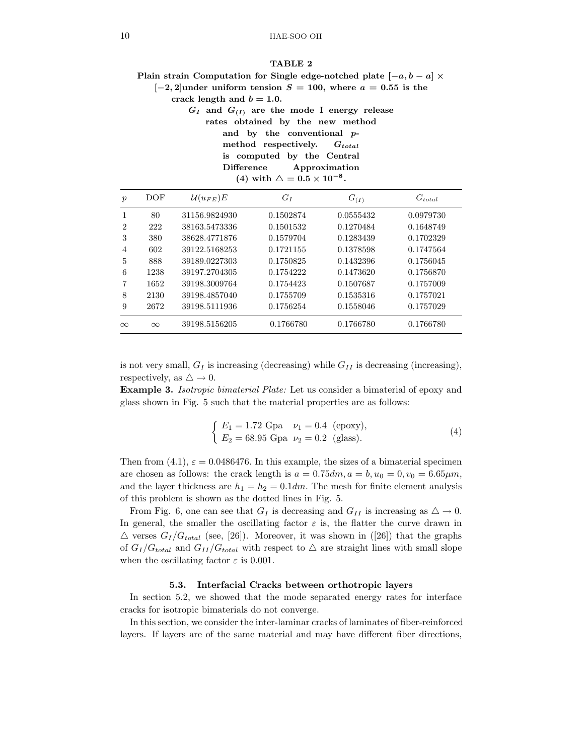#### TABLE 2

Plain strain Computation for Single edge-notched plate  $[-a, b - a] \times$ 

 $[-2, 2]$ under uniform tension  $S = 100$ , where  $a = 0.55$  is the

crack length and  $b = 1.0$ .

 $G_I$  and  $G_{(I)}$  are the mode I energy release rates obtained by the new method and by the conventional pmethod respectively.  $G_{total}$ is computed by the Central Difference Approximation (4) with  $\triangle = 0.5 \times 10^{-8}$ .

| $\boldsymbol{p}$ | DOF      | $\mathcal{U}(u_{FE})E$ | $G_I$     | $G_{(I)}$ | $G_{total}$ |
|------------------|----------|------------------------|-----------|-----------|-------------|
|                  | 80       | 31156.9824930          | 0.1502874 | 0.0555432 | 0.0979730   |
| 2                | 222      | 38163.5473336          | 0.1501532 | 0.1270484 | 0.1648749   |
| 3                | 380      | 38628.4771876          | 0.1579704 | 0.1283439 | 0.1702329   |
| 4                | 602      | 39122.5168253          | 0.1721155 | 0.1378598 | 0.1747564   |
| 5                | 888      | 39189.0227303          | 0.1750825 | 0.1432396 | 0.1756045   |
| 6                | 1238     | 39197.2704305          | 0.1754222 | 0.1473620 | 0.1756870   |
| 7                | 1652     | 39198.3009764          | 0.1754423 | 0.1507687 | 0.1757009   |
| 8                | 2130     | 39198.4857040          | 0.1755709 | 0.1535316 | 0.1757021   |
| 9                | 2672     | 39198.5111936          | 0.1756254 | 0.1558046 | 0.1757029   |
| $\infty$         | $\infty$ | 39198.5156205          | 0.1766780 | 0.1766780 | 0.1766780   |

is not very small,  $G_I$  is increasing (decreasing) while  $G_{II}$  is decreasing (increasing), respectively, as  $\triangle \rightarrow 0$ .

Example 3. Isotropic bimaterial Plate: Let us consider a bimaterial of epoxy and glass shown in Fig. 5 such that the material properties are as follows:

$$
\begin{cases}\nE_1 = 1.72 \text{ Gpa} & \nu_1 = 0.4 \text{ (epoxy)},\\ \nE_2 = 68.95 \text{ Gpa} & \nu_2 = 0.2 \text{ (glass)}.\n\end{cases} (4)
$$

Then from (4.1),  $\varepsilon = 0.0486476$ . In this example, the sizes of a bimaterial specimen are chosen as follows: the crack length is  $a = 0.75dm$ ,  $a = b$ ,  $u_0 = 0$ ,  $v_0 = 6.65 \mu m$ , and the layer thickness are  $h_1 = h_2 = 0.1$ dm. The mesh for finite element analysis of this problem is shown as the dotted lines in Fig. 5.

From Fig. 6, one can see that  $G_I$  is decreasing and  $G_{II}$  is increasing as  $\Delta \to 0$ . In general, the smaller the oscillating factor  $\varepsilon$  is, the flatter the curve drawn in  $\triangle$  verses  $G_I/G_{total}$  (see, [26]). Moreover, it was shown in ([26]) that the graphs of  $G_I/G_{total}$  and  $G_{II}/G_{total}$  with respect to  $\Delta$  are straight lines with small slope when the oscillating factor  $\varepsilon$  is 0.001.

#### 5.3. Interfacial Cracks between orthotropic layers

In section 5.2, we showed that the mode separated energy rates for interface cracks for isotropic bimaterials do not converge.

In this section, we consider the inter-laminar cracks of laminates of fiber-reinforced layers. If layers are of the same material and may have different fiber directions,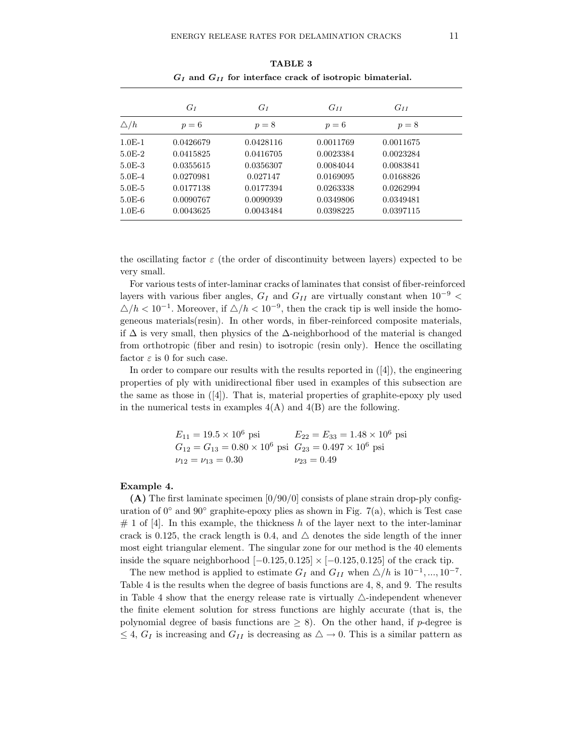|               | $G_I$     | $G_I$     | $G_{II}$  | $G_{II}$  |
|---------------|-----------|-----------|-----------|-----------|
| $\triangle/h$ | $p=6$     | $p=8$     | $p=6$     | $p=8$     |
| $1.0E-1$      | 0.0426679 | 0.0428116 | 0.0011769 | 0.0011675 |
| $5.0E-2$      | 0.0415825 | 0.0416705 | 0.0023384 | 0.0023284 |
| $5.0E-3$      | 0.0355615 | 0.0356307 | 0.0084044 | 0.0083841 |
| $5.0E - 4$    | 0.0270981 | 0.027147  | 0.0169095 | 0.0168826 |
| $5.0E - 5$    | 0.0177138 | 0.0177394 | 0.0263338 | 0.0262994 |
| $5.0E-6$      | 0.0090767 | 0.0090939 | 0.0349806 | 0.0349481 |
| $1.0E-6$      | 0.0043625 | 0.0043484 | 0.0398225 | 0.0397115 |
|               |           |           |           |           |

TABLE 3  $G_I$  and  $G_{II}$  for interface crack of isotropic bimaterial.

the oscillating factor  $\varepsilon$  (the order of discontinuity between layers) expected to be very small.

For various tests of inter-laminar cracks of laminates that consist of fiber-reinforced layers with various fiber angles,  $G_I$  and  $G_{II}$  are virtually constant when  $10^{-9}$  <  $\triangle/h < 10^{-1}$ . Moreover, if  $\triangle/h < 10^{-9}$ , then the crack tip is well inside the homogeneous materials(resin). In other words, in fiber-reinforced composite materials, if  $\Delta$  is very small, then physics of the  $\Delta$ -neighborhood of the material is changed from orthotropic (fiber and resin) to isotropic (resin only). Hence the oscillating factor  $\varepsilon$  is 0 for such case.

In order to compare our results with the results reported in ([4]), the engineering properties of ply with unidirectional fiber used in examples of this subsection are the same as those in  $([4])$ . That is, material properties of graphite-epoxy ply used in the numerical tests in examples  $4(A)$  and  $4(B)$  are the following.

> $E_{11} = 19.5 \times 10^6$  psi  $E_{22} = E_{33} = 1.48 \times 10^6$  psi  $G_{12} = G_{13} = 0.80 \times 10^6$  psi  $G_{23} = 0.497 \times 10^6$  psi<br> $\nu_{12} = \nu_{13} = 0.30$   $\nu_{23} = 0.49$  $\nu_{12} = \nu_{13} = 0.30$

### Example 4.

(A) The first laminate specimen  $[0/90/0]$  consists of plane strain drop-ply configuration of  $0^{\circ}$  and  $90^{\circ}$  graphite-epoxy plies as shown in Fig. 7(a), which is Test case  $# 1$  of [4]. In this example, the thickness h of the layer next to the inter-laminar crack is 0.125, the crack length is 0.4, and  $\triangle$  denotes the side length of the inner most eight triangular element. The singular zone for our method is the 40 elements inside the square neighborhood  $[-0.125, 0.125] \times [-0.125, 0.125]$  of the crack tip.

The new method is applied to estimate  $G_I$  and  $G_{II}$  when  $\triangle/h$  is  $10^{-1},...,10^{-7}$ . Table 4 is the results when the degree of basis functions are 4, 8, and 9. The results in Table 4 show that the energy release rate is virtually  $\triangle$ -independent whenever the finite element solution for stress functions are highly accurate (that is, the polynomial degree of basis functions are  $\geq 8$ ). On the other hand, if p-degree is  $\leq 4$ ,  $G_I$  is increasing and  $G_{II}$  is decreasing as  $\triangle \rightarrow 0$ . This is a similar pattern as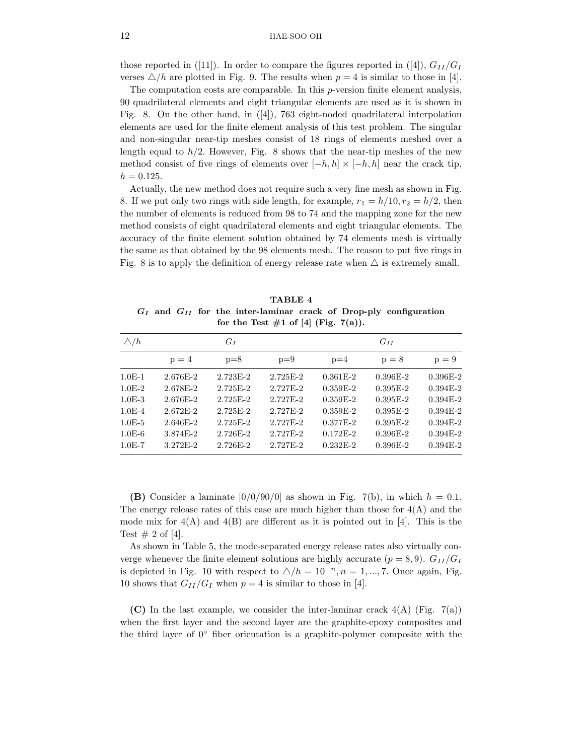those reported in ([11]). In order to compare the figures reported in ([4]),  $G_{II}/G_I$ verses  $\triangle/h$  are plotted in Fig. 9. The results when  $p = 4$  is similar to those in [4].

The computation costs are comparable. In this p-version finite element analysis, 90 quadrilateral elements and eight triangular elements are used as it is shown in Fig. 8. On the other hand, in ([4]), 763 eight-noded quadrilateral interpolation elements are used for the finite element analysis of this test problem. The singular and non-singular near-tip meshes consist of 18 rings of elements meshed over a length equal to  $h/2$ . However, Fig. 8 shows that the near-tip meshes of the new method consist of five rings of elements over  $[-h, h] \times [-h, h]$  near the crack tip,  $h = 0.125.$ 

Actually, the new method does not require such a very fine mesh as shown in Fig. 8. If we put only two rings with side length, for example,  $r_1 = h/10, r_2 = h/2$ , then the number of elements is reduced from 98 to 74 and the mapping zone for the new method consists of eight quadrilateral elements and eight triangular elements. The accuracy of the finite element solution obtained by 74 elements mesh is virtually the same as that obtained by the 98 elements mesh. The reason to put five rings in Fig. 8 is to apply the definition of energy release rate when  $\triangle$  is extremely small.

TABLE 4  $G_I$  and  $G_{II}$  for the inter-laminar crack of Drop-ply configuration for the Test  $\#1$  of [4] (Fig. 7(a)).

| $\Delta/h$ |              | $G_I$      |              |              | $G_{II}$   |            |
|------------|--------------|------------|--------------|--------------|------------|------------|
|            | $p = 4$      | $p=8$      | $p=9$        | $p=4$        | $p = 8$    | $p = 9$    |
| $1.0E-1$   | 2.676E-2     | 2.723E-2   | $2.725E - 2$ | $0.361E-2$   | $0.396E-2$ | $0.396E-2$ |
| $1.0E-2$   | 2.678E-2     | 2.725E-2   | 2.727E-2     | $0.359E-2$   | $0.395E-2$ | $0.394E-2$ |
| $1.0E-3$   | 2.676E-2     | 2.725F-2   | $2.727F - 2$ | $0.359E-2$   | $0.395E-2$ | $0.394E-2$ |
| $1.0E-4$   | $2.672E - 2$ | $2.725E-2$ | 2.727F-2     | $0.359E-2$   | $0.395E-2$ | $0.394E-2$ |
| $1.0E-5$   | 2.646E-2     | $2.725E-2$ | 2.727F-2     | $0.377E-2$   | $0.395E-2$ | $0.394E-2$ |
| $1.0E-6$   | 3.874E-2     | 2.726E-2   | 2.727E-2     | $0.172E - 2$ | $0.396E-2$ | $0.394E-2$ |
| $1.0E-7$   | 3.272E-2     | 2.726E-2   | 2.727E-2     | $0.232E-2$   | $0.396E-2$ | $0.394E-2$ |

(B) Consider a laminate  $[0/0/90/0]$  as shown in Fig. 7(b), in which  $h = 0.1$ . The energy release rates of this case are much higher than those for  $4(A)$  and the mode mix for  $4(A)$  and  $4(B)$  are different as it is pointed out in [4]. This is the Test  $\# 2$  of [4].

As shown in Table 5, the mode-separated energy release rates also virtually converge whenever the finite element solutions are highly accurate  $(p = 8, 9)$ .  $G_{II}/G_I$ is depicted in Fig. 10 with respect to  $\Delta/h = 10^{-n}, n = 1, ..., 7$ . Once again, Fig. 10 shows that  $G_{II}/G_I$  when  $p = 4$  is similar to those in [4].

(C) In the last example, we consider the inter-laminar crack  $4(A)$  (Fig. 7(a)) when the first layer and the second layer are the graphite-epoxy composites and the third layer of  $0^{\circ}$  fiber orientation is a graphite-polymer composite with the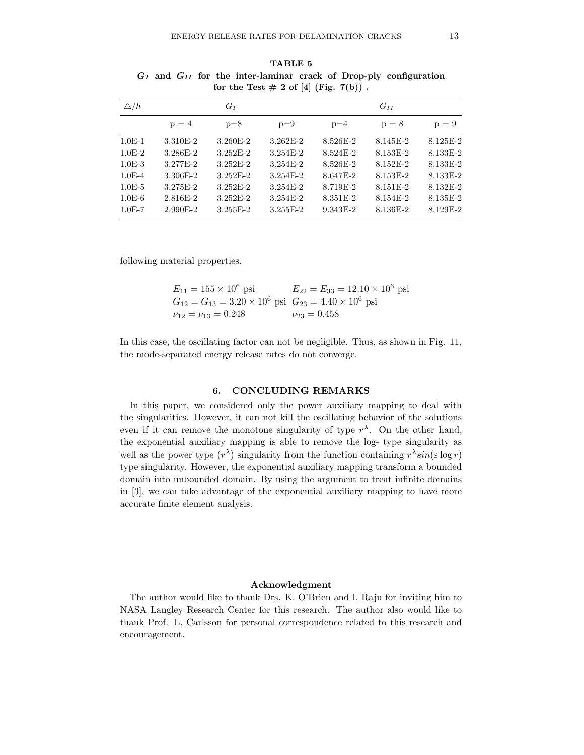| $\Delta/h$ |            | $G_I$        |              |          | $G_{II}$ |          |
|------------|------------|--------------|--------------|----------|----------|----------|
|            | $p = 4$    | $p=8$        | $p=9$        | $p=4$    | $p = 8$  | $p = 9$  |
| $1.0E-1$   | 3.310E-2   | $3.260E - 2$ | $3.262E - 2$ | 8.526E-2 | 8.145E-2 | 8.125E-2 |
| $1.0E-2$   | 3.286E-2   | $3.252E-2$   | $3.254E-2$   | 8.524E-2 | 8.153E-2 | 8.133E-2 |
| $1.0E-3$   | 3.277E-2   | $3.252E-2$   | $3.254E-2$   | 8.526E-2 | 8.152E-2 | 8.133E-2 |
| $1.0E - 4$ | 3.306E-2   | $3.252E - 2$ | $3.254E-2$   | 8.647E-2 | 8.153E-2 | 8.133E-2 |
| $1.0E-5$   | 3.275E-2   | $3.252E-2$   | $3.254E-2$   | 8.719E-2 | 8.151E-2 | 8.132E-2 |
| $1.0E-6$   | $2.816E-2$ | $3.252E-2$   | $3.254E-2$   | 8.351E-2 | 8.154E-2 | 8.135E-2 |
| $1.0E-7$   | 2.990E-2   | $3.255E-2$   | $3.255E-2$   | 9.343E-2 | 8.136E-2 | 8.129E-2 |
|            |            |              |              |          |          |          |

TABLE 5  $G_I$  and  $G_{II}$  for the inter-laminar crack of Drop-ply configuration for the Test  $\# 2$  of [4] (Fig. 7(b)).

following material properties.

| $E_{11} = 155 \times 10^6$ psi                                           | $E_{22} = E_{33} = 12.10 \times 10^6$ psi |
|--------------------------------------------------------------------------|-------------------------------------------|
| $G_{12} = G_{13} = 3.20 \times 10^6$ psi $G_{23} = 4.40 \times 10^6$ psi |                                           |
| $\nu_{12} = \nu_{13} = 0.248$                                            | $\nu_{23} = 0.458$                        |

In this case, the oscillating factor can not be negligible. Thus, as shown in Fig. 11, the mode-separated energy release rates do not converge.

### 6. CONCLUDING REMARKS

In this paper, we considered only the power auxiliary mapping to deal with the singularities. However, it can not kill the oscillating behavior of the solutions even if it can remove the monotone singularity of type  $r^{\lambda}$ . On the other hand, the exponential auxiliary mapping is able to remove the log- type singularity as well as the power type  $(r^{\lambda})$  singularity from the function containing  $r^{\lambda} sin(\varepsilon \log r)$ type singularity. However, the exponential auxiliary mapping transform a bounded domain into unbounded domain. By using the argument to treat infinite domains in [3], we can take advantage of the exponential auxiliary mapping to have more accurate finite element analysis.

### Acknowledgment

The author would like to thank Drs. K. O'Brien and I. Raju for inviting him to NASA Langley Research Center for this research. The author also would like to thank Prof. L. Carlsson for personal correspondence related to this research and encouragement.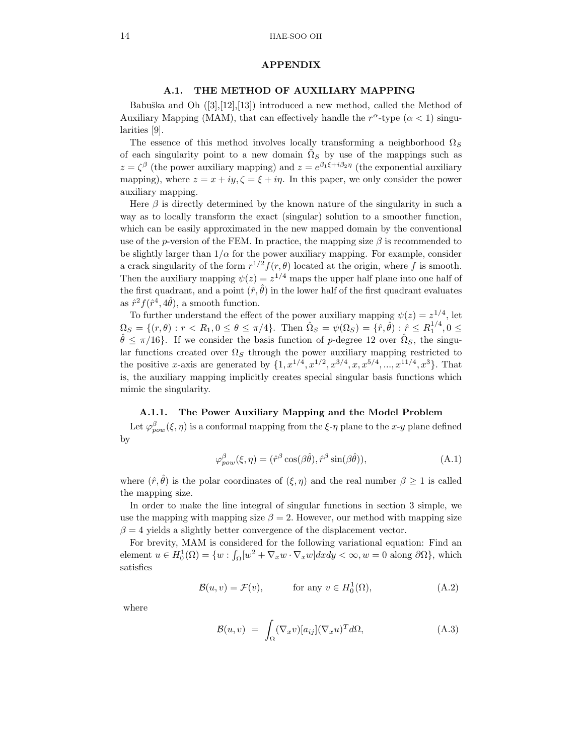#### APPENDIX

### A.1. THE METHOD OF AUXILIARY MAPPING

Babuška and Oh  $([3],[12],[13])$  introduced a new method, called the Method of Auxiliary Mapping (MAM), that can effectively handle the  $r^{\alpha}$ -type  $(\alpha < 1)$  singularities [9].

The essence of this method involves locally transforming a neighborhood  $\Omega<sub>S</sub>$ of each singularity point to a new domain  $\tilde{\Omega}_S$  by use of the mappings such as  $z = \zeta^{\beta}$  (the power auxiliary mapping) and  $z = e^{\beta_1 \xi + i\beta_2 \eta}$  (the exponential auxiliary mapping), where  $z = x + i y$ ,  $\zeta = \xi + i \eta$ . In this paper, we only consider the power auxiliary mapping.

Here  $\beta$  is directly determined by the known nature of the singularity in such a way as to locally transform the exact (singular) solution to a smoother function, which can be easily approximated in the new mapped domain by the conventional use of the p-version of the FEM. In practice, the mapping size  $\beta$  is recommended to be slightly larger than  $1/\alpha$  for the power auxiliary mapping. For example, consider a crack singularity of the form  $r^{1/2}f(r,\theta)$  located at the origin, where f is smooth. Then the auxiliary mapping  $\psi(z) = z^{1/4}$  maps the upper half plane into one half of the first quadrant, and a point  $(\hat{r}, \hat{\theta})$  in the lower half of the first quadrant evaluates as  $\hat{r}^2 f(\hat{r}^4, 4\hat{\theta})$ , a smooth function.

To further understand the effect of the power auxiliary mapping  $\psi(z) = z^{1/4}$ , let  $\Omega_S = \{ (r, \theta) : r < R_1, 0 \le \theta \le \pi/4 \}.$  Then  $\hat{\Omega}_S = \psi(\Omega_S) = \{ \hat{r}, \hat{\theta} \} : \hat{r} \le R_1^{1/4}, 0 \le \theta \le \pi/4 \}.$  $\hat{\theta} \leq \pi/16$ . If we consider the basis function of p-degree 12 over  $\hat{\Omega}_S$ , the singular functions created over  $\Omega_S$  through the power auxiliary mapping restricted to the positive x-axis are generated by  $\{1, x^{1/4}, x^{1/2}, x^{3/4}, x, x^{5/4}, ..., x^{11/4}, x^3\}$ . That is, the auxiliary mapping implicitly creates special singular basis functions which mimic the singularity.

### A.1.1. The Power Auxiliary Mapping and the Model Problem

Let  $\varphi_{pow}^{\beta}(\xi, \eta)$  is a conformal mapping from the  $\xi$ - $\eta$  plane to the x-y plane defined by

$$
\varphi_{pow}^{\beta}(\xi, \eta) = (\hat{r}^{\beta} \cos(\beta \hat{\theta}), \hat{r}^{\beta} \sin(\beta \hat{\theta})), \tag{A.1}
$$

where  $(\hat{r}, \hat{\theta})$  is the polar coordinates of  $(\xi, \eta)$  and the real number  $\beta \geq 1$  is called the mapping size.

In order to make the line integral of singular functions in section 3 simple, we use the mapping with mapping size  $\beta = 2$ . However, our method with mapping size  $\beta = 4$  yields a slightly better convergence of the displacement vector.

For brevity, MAM is considered for the following variational equation: Find an element  $u \in H_0^1(\Omega) = \{w : \int_{\Omega} [w^2 + \nabla_x w \cdot \nabla_x w] dxdy < \infty, w = 0 \text{ along } \partial \Omega \},\$ which satisfies

$$
\mathcal{B}(u,v) = \mathcal{F}(v), \qquad \text{for any } v \in H_0^1(\Omega), \tag{A.2}
$$

where

$$
\mathcal{B}(u,v) = \int_{\Omega} (\nabla_x v) [a_{ij}] (\nabla_x u)^T d\Omega, \tag{A.3}
$$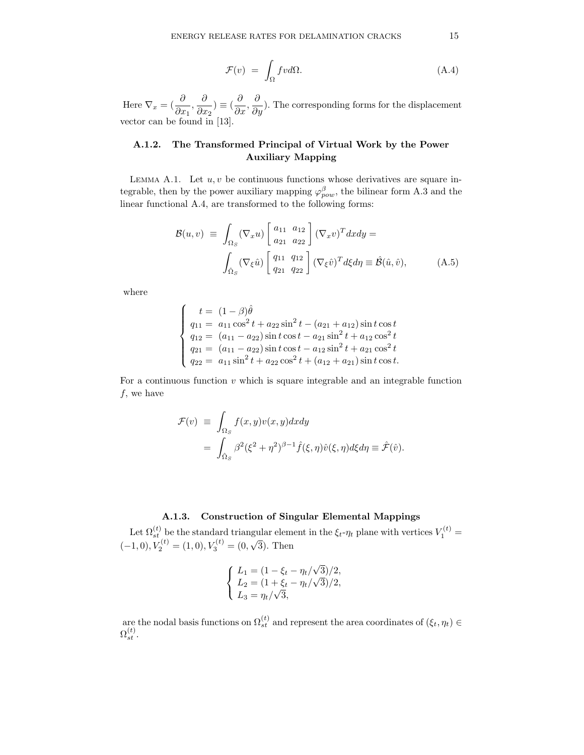$$
\mathcal{F}(v) = \int_{\Omega} fv d\Omega. \tag{A.4}
$$

Here  $\nabla_x = (\frac{\partial}{\partial x}$  $\frac{\partial}{\partial x_1}, \frac{\partial}{\partial x_2}$  $\frac{\partial}{\partial x_2}$ )  $\equiv (\frac{\partial}{\partial x_2})$  $\frac{\partial}{\partial x}, \frac{\partial}{\partial y}$  $\frac{\partial}{\partial y}$ ). The corresponding forms for the displacement vector can be found in [13].

# A.1.2. The Transformed Principal of Virtual Work by the Power Auxiliary Mapping

LEMMA A.1. Let  $u, v$  be continuous functions whose derivatives are square integrable, then by the power auxiliary mapping  $\varphi_{pow}^{\beta}$ , the bilinear form A.3 and the linear functional A.4, are transformed to the following forms:

$$
\mathcal{B}(u,v) \equiv \int_{\Omega_S} (\nabla_x u) \begin{bmatrix} a_{11} & a_{12} \\ a_{21} & a_{22} \end{bmatrix} (\nabla_x v)^T dx dy =
$$

$$
\int_{\hat{\Omega}_S} (\nabla_{\xi} \hat{u}) \begin{bmatrix} q_{11} & q_{12} \\ q_{21} & q_{22} \end{bmatrix} (\nabla_{\xi} \hat{v})^T d\xi d\eta \equiv \hat{\mathcal{B}}(\hat{u}, \hat{v}), \tag{A.5}
$$

where

$$
\begin{cases}\n t = (1 - \beta)\hat{\theta} \\
 q_{11} = a_{11}\cos^2 t + a_{22}\sin^2 t - (a_{21} + a_{12})\sin t \cos t \\
 q_{12} = (a_{11} - a_{22})\sin t \cos t - a_{21}\sin^2 t + a_{12}\cos^2 t \\
 q_{21} = (a_{11} - a_{22})\sin t \cos t - a_{12}\sin^2 t + a_{21}\cos^2 t \\
 q_{22} = a_{11}\sin^2 t + a_{22}\cos^2 t + (a_{12} + a_{21})\sin t \cos t.\n\end{cases}
$$

For a continuous function  $v$  which is square integrable and an integrable function  $f$ , we have

$$
\mathcal{F}(v) \equiv \int_{\Omega_S} f(x, y)v(x, y)dxdy
$$
  
= 
$$
\int_{\hat{\Omega}_S} \beta^2 (\xi^2 + \eta^2)^{\beta - 1} \hat{f}(\xi, \eta)\hat{v}(\xi, \eta)d\xi d\eta \equiv \hat{\mathcal{F}}(\hat{v}).
$$

# A.1.3. Construction of Singular Elemental Mappings

Let  $\Omega_{st}^{(t)}$  be the standard triangular element in the  $\xi_t$ - $\eta_t$  plane with vertices  $V_1^{(t)}$  =  $(-1,0), V_2^{(t)} = (1,0), V_3^{(t)} = (0,\sqrt{3}).$  Then

$$
\begin{cases}\nL_1 = (1 - \xi_t - \eta_t/\sqrt{3})/2, \\
L_2 = (1 + \xi_t - \eta_t/\sqrt{3})/2, \\
L_3 = \eta_t/\sqrt{3},\n\end{cases}
$$

are the nodal basis functions on  $\Omega_{st}^{(t)}$  and represent the area coordinates of  $(\xi_t, \eta_t) \in$  $\Omega_{st}^{(t)}.$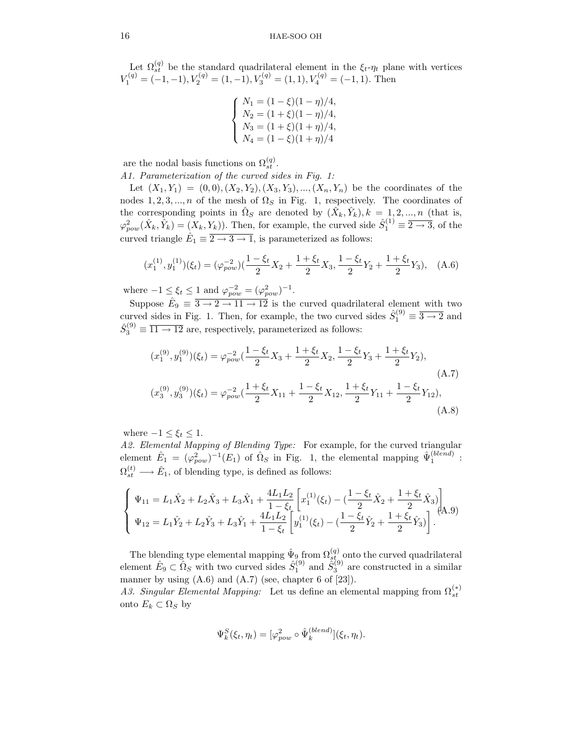Let  $\Omega_{st}^{(q)}$  be the standard quadrilateral element in the  $\xi_t$ - $\eta_t$  plane with vertices  $V_1^{(q)} = (-1, -1), V_2^{(q)} = (1, -1), V_3^{(q)} = (1, 1), V_4^{(q)} = (-1, 1).$  Then

$$
\begin{cases}\nN_1 = (1 - \xi)(1 - \eta)/4, \\
N_2 = (1 + \xi)(1 - \eta)/4, \\
N_3 = (1 + \xi)(1 + \eta)/4, \\
N_4 = (1 - \xi)(1 + \eta)/4\n\end{cases}
$$

are the nodal basis functions on  $\Omega_{st}^{(q)}$ .

A1. Parameterization of the curved sides in Fig. 1:

Let  $(X_1, Y_1) = (0, 0), (X_2, Y_2), (X_3, Y_3), ..., (X_n, Y_n)$  be the coordinates of the nodes 1, 2, 3, ..., *n* of the mesh of  $\Omega_S$  in Fig. 1, respectively. The coordinates of the corresponding points in  $\hat{\Omega}_S$  are denoted by  $(\hat{X}_k, \hat{Y}_k)$ ,  $k = 1, 2, ..., n$  (that is,  $\varphi_{pow}^2(\hat{X}_k, \hat{Y}_k) = (X_k, Y_k)$ . Then, for example, the curved side  $\hat{S}_1^{(1)} \equiv \overline{2 \to 3}$ , of the curved triangle  $\hat{E}_1 \equiv \overline{2 \rightarrow 3 \rightarrow 1}$ , is parameterized as follows:

$$
(x_1^{(1)}, y_1^{(1)})(\xi_t) = (\varphi_{pow}^{-2})(\frac{1-\xi_t}{2}X_2 + \frac{1+\xi_t}{2}X_3, \frac{1-\xi_t}{2}Y_2 + \frac{1+\xi_t}{2}Y_3), \quad (A.6)
$$

where  $-1 \leq \xi_t \leq 1$  and  $\varphi_{pow}^{-2} = (\varphi_{pow}^2)^{-1}$ .

Suppose  $\hat{E}_9 \equiv \overline{3 \rightarrow 2 \rightarrow 11 \rightarrow 12}$  is the curved quadrilateral element with two curved sides in Fig. 1. Then, for example, the two curved sides  $\hat{S}_1^{(9)} \equiv \overline{3 \rightarrow 2}$  and  $\hat{S}_3^{(9)} \equiv \overline{11 \rightarrow 12}$  are, respectively, parameterized as follows:

$$
(x_1^{(9)}, y_1^{(9)})(\xi_t) = \varphi_{pow}^{-2} \left(\frac{1 - \xi_t}{2} X_3 + \frac{1 + \xi_t}{2} X_2, \frac{1 - \xi_t}{2} Y_3 + \frac{1 + \xi_t}{2} Y_2\right),
$$
\n(A.7)\n
$$
(x_3^{(9)}, y_3^{(9)})(\xi_t) = \varphi_{pow}^{-2} \left(\frac{1 + \xi_t}{2} X_{11} + \frac{1 - \xi_t}{2} X_{12}, \frac{1 + \xi_t}{2} Y_{11} + \frac{1 - \xi_t}{2} Y_{12}\right),
$$
\n(A.8)

where  $-1 \leq \xi_t \leq 1$ .

A2. Elemental Mapping of Blending Type: For example, for the curved triangular element  $\hat{E}_1 = (\varphi_{pow}^2)^{-1}(E_1)$  of  $\hat{\Omega}_S$  in Fig. 1, the elemental mapping  $\hat{\Psi}_1^{(blend)}$ :  $\Omega_{st}^{(t)} \longrightarrow \hat{E}_1$ , of blending type, is defined as follows:

$$
\begin{cases} \Psi_{11} = L_1 \hat{X}_2 + L_2 \hat{X}_3 + L_3 \hat{X}_1 + \frac{4L_1 L_2}{1 - \xi_t} \left[ x_1^{(1)}(\xi_t) - \left( \frac{1 - \xi_t}{2} \hat{X}_2 + \frac{1 + \xi_t}{2} \hat{X}_3 \right) \right] \\ \Psi_{12} = L_1 \hat{Y}_2 + L_2 \hat{Y}_3 + L_3 \hat{Y}_1 + \frac{4L_1 L_2}{1 - \xi_t} \left[ y_1^{(1)}(\xi_t) - \left( \frac{1 - \xi_t}{2} \hat{Y}_2 + \frac{1 + \xi_t}{2} \hat{Y}_3 \right) \right]. \end{cases} (A.9)
$$

The blending type elemental mapping  $\hat{\Psi}_{9}$  from  $\Omega_{st}^{(q)}$  onto the curved quadrilateral element  $\hat{E}_9 \subset \hat{\Omega}_S$  with two curved sides  $\hat{S}_1^{(9)}$  and  $\tilde{S}_3^{(9)}$  are constructed in a similar manner by using  $(A.6)$  and  $(A.7)$  (see, chapter 6 of  $[23]$ ).

A3. Singular Elemental Mapping: Let us define an elemental mapping from  $\Omega_{st}^{(*)}$ onto  $E_k$  ⊂ Ω<sub>S</sub> by

$$
\Psi_k^S(\xi_t, \eta_t) = [\varphi_{pow}^2 \circ \hat{\Psi}_k^{(bend)}](\xi_t, \eta_t).
$$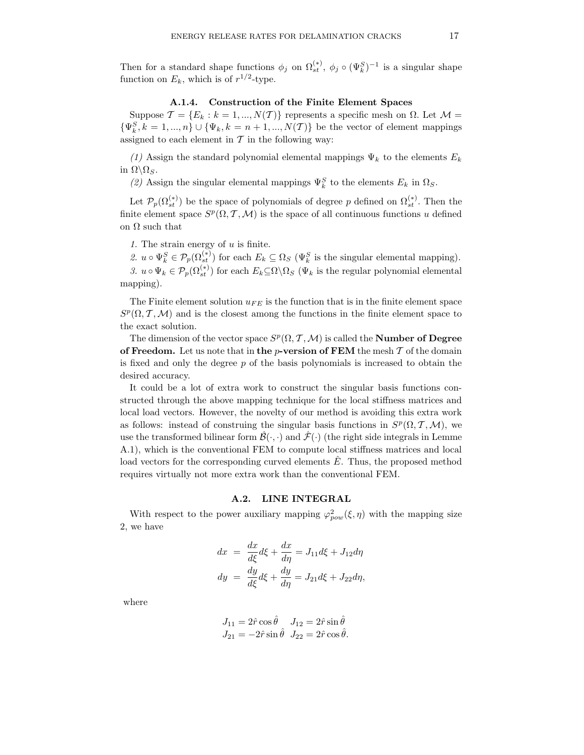Then for a standard shape functions  $\phi_j$  on  $\Omega_{st}^{(*)}$ ,  $\phi_j \circ (\Psi_k^S)^{-1}$  is a singular shape function on  $E_k$ , which is of  $r^{1/2}$ -type.

# A.1.4. Construction of the Finite Element Spaces

Suppose  $\mathcal{T} = \{E_k : k = 1, ..., N(\mathcal{T})\}$  represents a specific mesh on  $\Omega$ . Let  $\mathcal{M} =$  $\{\Psi_k^S, k = 1, ..., n\} \cup \{\Psi_k, k = n + 1, ..., N(\mathcal{T})\}$  be the vector of element mappings assigned to each element in  $\mathcal T$  in the following way:

(1) Assign the standard polynomial elemental mappings  $\Psi_k$  to the elements  $E_k$ in  $\Omega \backslash \Omega_S$ .

(2) Assign the singular elemental mappings  $\Psi_k^S$  to the elements  $E_k$  in  $\Omega_S$ .

Let  $\mathcal{P}_p(\Omega_{st}^{(*)})$  be the space of polynomials of degree p defined on  $\Omega_{st}^{(*)}$ . Then the finite element space  $S^p(\Omega, \mathcal{T}, \mathcal{M})$  is the space of all continuous functions u defined on  $\Omega$  such that

1. The strain energy of  $u$  is finite.

2.  $u \circ \Psi_k^S \in \mathcal{P}_p(\Omega_{st}^{(*)})$  for each  $E_k \subseteq \Omega_S$  ( $\Psi_k^S$  is the singular elemental mapping). 3.  $u \circ \Psi_k \in \mathcal{P}_p(\Omega_{st}^{(*)})$  for each  $E_k \subseteq \Omega \backslash \Omega_s$  ( $\Psi_k$  is the regular polynomial elemental mapping).

The Finite element solution  $u_{FE}$  is the function that is in the finite element space  $S^p(\Omega, \mathcal{T}, \mathcal{M})$  and is the closest among the functions in the finite element space to the exact solution.

The dimension of the vector space  $S^p(\Omega, \mathcal{T}, \mathcal{M})$  is called the **Number of Degree** of Freedom. Let us note that in the  $p$ -version of FEM the mesh  $T$  of the domain is fixed and only the degree  $p$  of the basis polynomials is increased to obtain the desired accuracy.

It could be a lot of extra work to construct the singular basis functions constructed through the above mapping technique for the local stiffness matrices and local load vectors. However, the novelty of our method is avoiding this extra work as follows: instead of construing the singular basis functions in  $S^p(\Omega, \mathcal{T}, \mathcal{M})$ , we use the transformed bilinear form  $\mathcal{B}(\cdot,\cdot)$  and  $\mathcal{F}(\cdot)$  (the right side integrals in Lemme A.1), which is the conventional FEM to compute local stiffness matrices and local load vectors for the corresponding curved elements  $\hat{E}$ . Thus, the proposed method requires virtually not more extra work than the conventional FEM.

# A.2. LINE INTEGRAL

With respect to the power auxiliary mapping  $\varphi_{pow}^2(\xi, \eta)$  with the mapping size 2, we have

$$
dx = \frac{dx}{d\xi}d\xi + \frac{dx}{d\eta} = J_{11}d\xi + J_{12}d\eta
$$
  

$$
dy = \frac{dy}{d\xi}d\xi + \frac{dy}{d\eta} = J_{21}d\xi + J_{22}d\eta,
$$

where

$$
J_{11} = 2\hat{r}\cos\hat{\theta} \quad J_{12} = 2\hat{r}\sin\hat{\theta}
$$
  

$$
J_{21} = -2\hat{r}\sin\hat{\theta} \quad J_{22} = 2\hat{r}\cos\hat{\theta}.
$$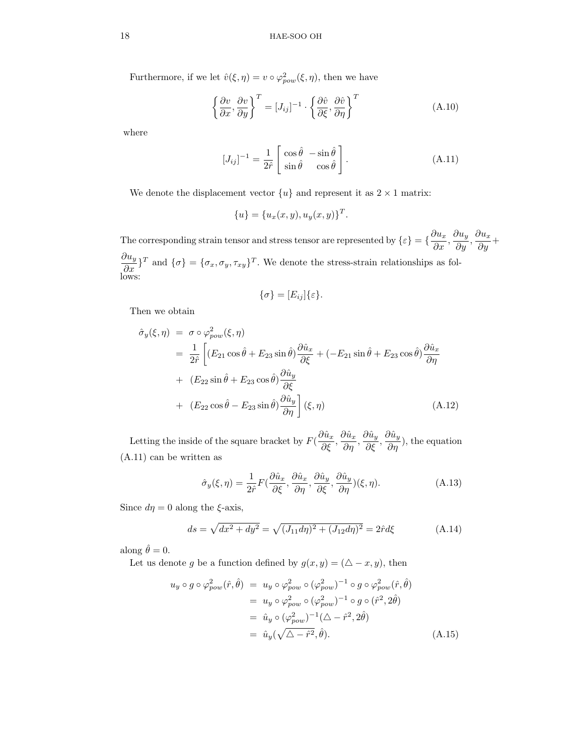Furthermore, if we let  $\hat{v}(\xi, \eta) = v \circ \varphi_{pow}^2(\xi, \eta)$ , then we have

$$
\left\{\frac{\partial v}{\partial x}, \frac{\partial v}{\partial y}\right\}^T = [J_{ij}]^{-1} \cdot \left\{\frac{\partial \hat{v}}{\partial \xi}, \frac{\partial \hat{v}}{\partial \eta}\right\}^T
$$
\n(A.10)

where

$$
[J_{ij}]^{-1} = \frac{1}{2\hat{r}} \begin{bmatrix} \cos\hat{\theta} & -\sin\hat{\theta} \\ \sin\hat{\theta} & \cos\hat{\theta} \end{bmatrix} . \tag{A.11}
$$

We denote the displacement vector  $\{u\}$  and represent it as  $2 \times 1$  matrix:

$$
\{u\} = \{u_x(x, y), u_y(x, y)\}^T.
$$

The corresponding strain tensor and stress tensor are represented by  $\{\varepsilon\} = \{\frac{\partial u_x}{\partial r}$  $\frac{\partial u_x}{\partial x}, \frac{\partial u_y}{\partial y}$  $\frac{\partial u_y}{\partial y}, \frac{\partial u_x}{\partial y}$  $rac{\partial}{\partial y}$ +  $\partial u_y$  $\frac{\partial u_y}{\partial x}$ <sup>T</sup> and  $\{\sigma\} = {\{\sigma_x, \sigma_y, \tau_{xy}\}}^T$ . We denote the stress-strain relationships as follows:

$$
\{\sigma\}=[E_{ij}]\{\varepsilon\}.
$$

Then we obtain

$$
\hat{\sigma}_y(\xi, \eta) = \sigma \circ \varphi_{pow}^2(\xi, \eta)
$$
  
\n
$$
= \frac{1}{2\hat{r}} \left[ (E_{21} \cos \hat{\theta} + E_{23} \sin \hat{\theta}) \frac{\partial \hat{u}_x}{\partial \xi} + (-E_{21} \sin \hat{\theta} + E_{23} \cos \hat{\theta}) \frac{\partial \hat{u}_x}{\partial \eta} + (E_{22} \sin \hat{\theta} + E_{23} \cos \hat{\theta}) \frac{\partial \hat{u}_y}{\partial \xi} + (E_{22} \cos \hat{\theta} - E_{23} \sin \hat{\theta}) \frac{\partial \hat{u}_y}{\partial \eta} \right] (\xi, \eta)
$$
\n(A.12)

Letting the inside of the square bracket by  $F\left(\frac{\partial \hat{u}_x}{\partial \zeta}\right)$  $\frac{\partial \hat{u}_x}{\partial \xi}, \frac{\partial \hat{u}_x}{\partial \eta}$  $\frac{\partial \hat{u}_x}{\partial \eta}, \frac{\partial \hat{u}_y}{\partial \xi}$  $\frac{\partial \hat{u}_y}{\partial \xi}, \frac{\partial \hat{u}_y}{\partial \eta}$  $\frac{\partial \mathcal{L}(\mathbf{w})}{\partial \eta}$ , the equation (A.11) can be written as

$$
\hat{\sigma}_y(\xi,\eta) = \frac{1}{2\hat{r}} F(\frac{\partial \hat{u}_x}{\partial \xi}, \frac{\partial \hat{u}_x}{\partial \eta}, \frac{\partial \hat{u}_y}{\partial \xi}, \frac{\partial \hat{u}_y}{\partial \eta})(\xi,\eta). \tag{A.13}
$$

Since  $d\eta = 0$  along the  $\xi$ -axis,

$$
ds = \sqrt{dx^2 + dy^2} = \sqrt{(J_{11}d\eta)^2 + (J_{12}d\eta)^2} = 2\hat{r}d\xi
$$
 (A.14)

along  $\hat{\theta} = 0$ .

Let us denote g be a function defined by  $g(x, y) = (\triangle - x, y)$ , then

$$
u_y \circ g \circ \varphi_{pow}^2(\hat{r}, \hat{\theta}) = u_y \circ \varphi_{pow}^2 \circ (\varphi_{pow}^2)^{-1} \circ g \circ \varphi_{pow}^2(\hat{r}, \hat{\theta})
$$
  
\n
$$
= u_y \circ \varphi_{pow}^2 \circ (\varphi_{pow}^2)^{-1} \circ g \circ (\hat{r}^2, 2\hat{\theta})
$$
  
\n
$$
= \hat{u}_y \circ (\varphi_{pow}^2)^{-1} (\triangle - \hat{r}^2, 2\hat{\theta})
$$
  
\n
$$
= \hat{u}_y (\sqrt{\triangle - \hat{r}^2}, \hat{\theta}).
$$
 (A.15)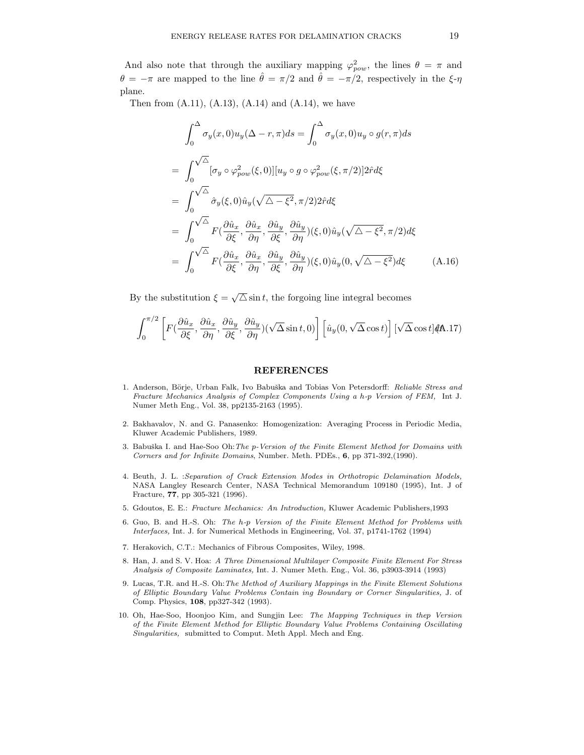And also note that through the auxiliary mapping  $\varphi_{pow}^2$ , the lines  $\theta = \pi$  and  $\theta = -\pi$  are mapped to the line  $\hat{\theta} = \pi/2$  and  $\hat{\theta} = -\pi/2$ , respectively in the  $\xi$ - $\eta$ plane.

Then from  $(A.11)$ ,  $(A.13)$ ,  $(A.14)$  and  $(A.14)$ , we have

$$
\int_{0}^{\Delta} \sigma_{y}(x,0)u_{y}(\Delta - r, \pi)ds = \int_{0}^{\Delta} \sigma_{y}(x,0)u_{y} \circ g(r, \pi)ds
$$
  
\n
$$
= \int_{0}^{\sqrt{\Delta}} [\sigma_{y} \circ \varphi_{pow}^{2}(\xi,0)][u_{y} \circ g \circ \varphi_{pow}^{2}(\xi,\pi/2)]2\hat{r}d\xi
$$
  
\n
$$
= \int_{0}^{\sqrt{\Delta}} \hat{\sigma}_{y}(\xi,0)\hat{u}_{y}(\sqrt{\Delta - \xi^{2}}, \pi/2)2\hat{r}d\xi
$$
  
\n
$$
= \int_{0}^{\sqrt{\Delta}} F(\frac{\partial \hat{u}_{x}}{\partial \xi}, \frac{\partial \hat{u}_{x}}{\partial \eta}, \frac{\partial \hat{u}_{y}}{\partial \xi}, \frac{\partial \hat{u}_{y}}{\partial \eta})(\xi,0)\hat{u}_{y}(\sqrt{\Delta - \xi^{2}}, \pi/2)d\xi
$$
  
\n
$$
= \int_{0}^{\sqrt{\Delta}} F(\frac{\partial \hat{u}_{x}}{\partial \xi}, \frac{\partial \hat{u}_{x}}{\partial \eta}, \frac{\partial \hat{u}_{y}}{\partial \xi}, \frac{\partial \hat{u}_{y}}{\partial \eta})(\xi,0)\hat{u}_{y}(0,\sqrt{\Delta - \xi^{2}})d\xi
$$
(A.16)

By the substitution  $\xi = \sqrt{\Delta} \sin t$ , the forgoing line integral becomes

$$
\int_0^{\pi/2} \left[ F\left( \frac{\partial \hat{u}_x}{\partial \xi}, \frac{\partial \hat{u}_x}{\partial \eta}, \frac{\partial \hat{u}_y}{\partial \xi}, \frac{\partial \hat{u}_y}{\partial \eta} \right) (\sqrt{\Delta} \sin t, 0) \right] \left[ \hat{u}_y(0, \sqrt{\Delta} \cos t) \right] [\sqrt{\Delta} \cos t] d\mathbf{A}.17)
$$

#### REFERENCES

- 1. Anderson, Börje, Urban Falk, Ivo Babuška and Tobias Von Petersdorff: Reliable Stress and Fracture Mechanics Analysis of Complex Components Using a h-p Version of FEM, Int J. Numer Meth Eng., Vol. 38, pp2135-2163 (1995).
- 2. Bakhavalov, N. and G. Panasenko: Homogenization: Averaging Process in Periodic Media, Kluwer Academic Publishers, 1989.
- 3. Babuška I. and Hae-Soo Oh: The p-Version of the Finite Element Method for Domains with Corners and for Infinite Domains, Number. Meth. PDEs., 6, pp 371-392,(1990).
- 4. Beuth, J. L. :Separation of Crack Extension Modes in Orthotropic Delamination Models, NASA Langley Research Center, NASA Technical Memorandum 109180 (1995), Int. J of Fracture, 77, pp 305-321 (1996).
- 5. Gdoutos, E. E.: Fracture Mechanics: An Introduction, Kluwer Academic Publishers,1993
- 6. Guo, B. and H.-S. Oh: The h-p Version of the Finite Element Method for Problems with Interfaces, Int. J. for Numerical Methods in Engineering, Vol. 37, p1741-1762 (1994)
- 7. Herakovich, C.T.: Mechanics of Fibrous Composites, Wiley, 1998.
- 8. Han, J. and S. V. Hoa: A Three Dimensional Multilayer Composite Finite Element For Stress Analysis of Composite Laminates, Int. J. Numer Meth. Eng., Vol. 36, p3903-3914 (1993)
- 9. Lucas, T.R. and H.-S. Oh:The Method of Auxiliary Mappings in the Finite Element Solutions of Elliptic Boundary Value Problems Contain ing Boundary or Corner Singularities, J. of Comp. Physics, 108, pp327-342 (1993).
- 10. Oh, Hae-Soo, Hoonjoo Kim, and Sungjin Lee: The Mapping Techniques in thep Version of the Finite Element Method for Elliptic Boundary Value Problems Containing Oscillating Singularities, submitted to Comput. Meth Appl. Mech and Eng.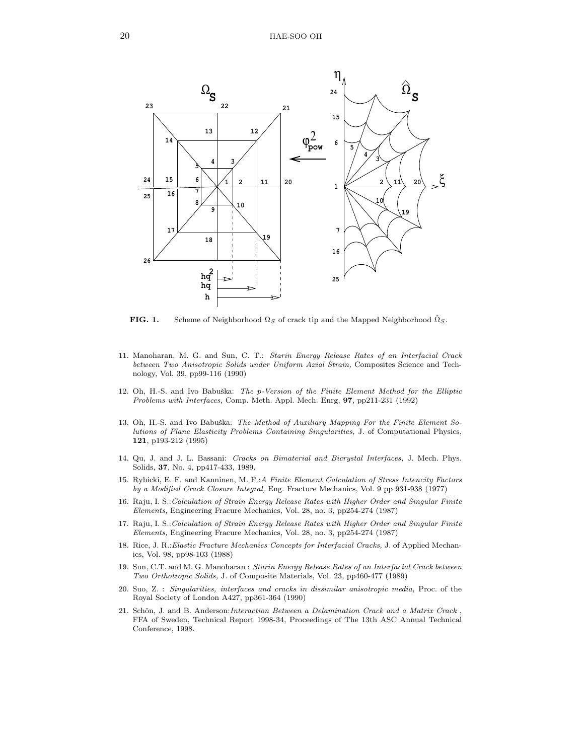

**FIG. 1.** Scheme of Neighborhood  $\Omega_S$  of crack tip and the Mapped Neighborhood  $\Omega_S$ .

- 11. Manoharan, M. G. and Sun, C. T.: Starin Energy Release Rates of an Interfacial Crack between Two Anisotropic Solids under Uniform Axial Strain, Composites Science and Technology, Vol. 39, pp99-116 (1990)
- 12. Oh, H.-S. and Ivo Babuška: The p-Version of the Finite Element Method for the Elliptic Problems with Interfaces, Comp. Meth. Appl. Mech. Enrg, 97, pp211-231 (1992)
- 13. Oh, H.-S. and Ivo Babuška: The Method of Auxiliary Mapping For the Finite Element Solutions of Plane Elasticity Problems Containing Singularities, J. of Computational Physics, 121, p193-212 (1995)
- 14. Qu, J. and J. L. Bassani: Cracks on Bimaterial and Bicrystal Interfaces, J. Mech. Phys. Solids, 37, No. 4, pp417-433, 1989.
- 15. Rybicki, E. F. and Kanninen, M. F.:A Finite Element Calculation of Stress Intencity Factors by a Modified Crack Closure Integral, Eng. Fracture Mechanics, Vol. 9 pp 931-938 (1977)
- 16. Raju, I. S.:Calculation of Strain Energy Release Rates with Higher Order and Singular Finite Elements, Engineering Fracure Mechanics, Vol. 28, no. 3, pp254-274 (1987)
- 17. Raju, I. S.:Calculation of Strain Energy Release Rates with Higher Order and Singular Finite Elements, Engineering Fracure Mechanics, Vol. 28, no. 3, pp254-274 (1987)
- 18. Rice, J. R.:Elastic Fracture Mechanics Concepts for Interfacial Cracks, J. of Applied Mechanics, Vol. 98, pp98-103 (1988)
- 19. Sun, C.T. and M. G. Manoharan : Starin Energy Release Rates of an Interfacial Crack between Two Orthotropic Solids, J. of Composite Materials, Vol. 23, pp460-477 (1989)
- 20. Suo, Z. : Singularities, interfaces and cracks in dissimilar anisotropic media, Proc. of the Royal Society of London A427, pp361-364 (1990)
- 21. Schön, J. and B. Anderson: Interaction Between a Delamination Crack and a Matrix Crack, FFA of Sweden, Technical Report 1998-34, Proceedings of The 13th ASC Annual Technical Conference, 1998.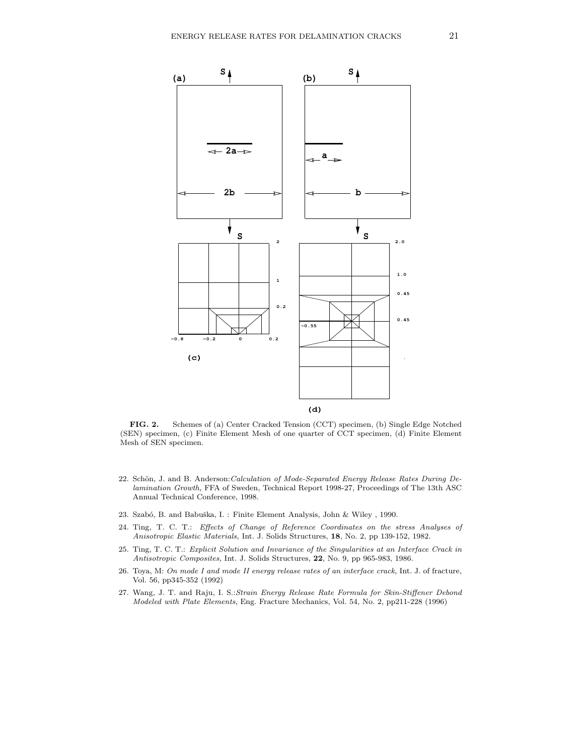

FIG. 2. Schemes of (a) Center Cracked Tension (CCT) specimen, (b) Single Edge Notched (SEN) specimen, (c) Finite Element Mesh of one quarter of CCT specimen, (d) Finite Element Mesh of SEN specimen.

- 22. Schön, J. and B. Anderson: Calculation of Mode-Separated Energy Release Rates During Delamination Growth, FFA of Sweden, Technical Report 1998-27, Proceedings of The 13th ASC Annual Technical Conference, 1998.
- 23. Szabó, B. and Babuška, I. : Finite Element Analysis, John & Wiley , 1990.
- 24. Ting, T. C. T.: Effects of Change of Reference Coordinates on the stress Analyses of Anisotropic Elastic Materials, Int. J. Solids Structures, 18, No. 2, pp 139-152, 1982.
- 25. Ting, T. C. T.: Explicit Solution and Invariance of the Singularities at an Interface Crack in Antisotropic Composites, Int. J. Solids Structures, 22, No. 9, pp 965-983, 1986.
- 26. Toya, M: On mode I and mode II energy release rates of an interface crack, Int. J. of fracture, Vol. 56, pp345-352 (1992)
- 27. Wang, J. T. and Raju, I. S.:Strain Energy Release Rate Formula for Skin-Stiffener Debond Modeled with Plate Elements, Eng. Fracture Mechanics, Vol. 54, No. 2, pp211-228 (1996)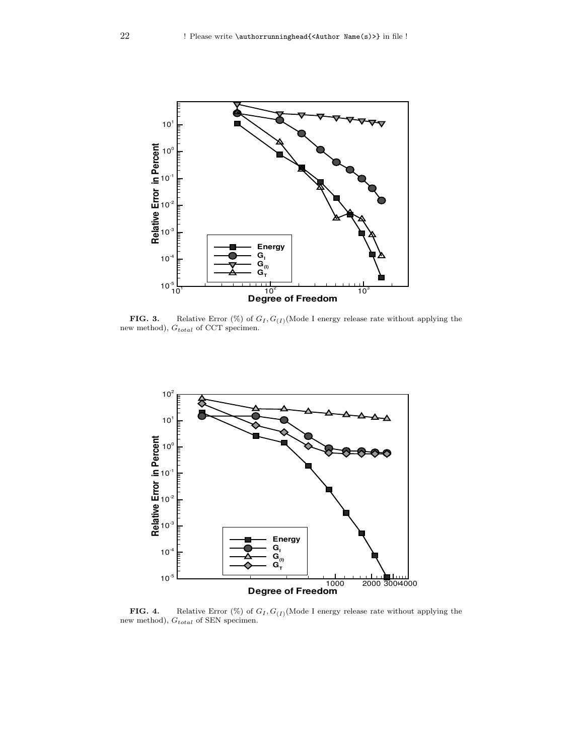

**FIG. 3.** Relative Error  $(\%)$  of  $G_I$ ,  $G_{(I)}$  (Mode I energy release rate without applying the new method),  $G_{total}$  of CCT specimen.



**FIG. 4.** Relative Error  $(\%)$  of  $G_I$ ,  $G_{(I)}$  (Mode I energy release rate without applying the new method),  $G_{total}$  of SEN specimen.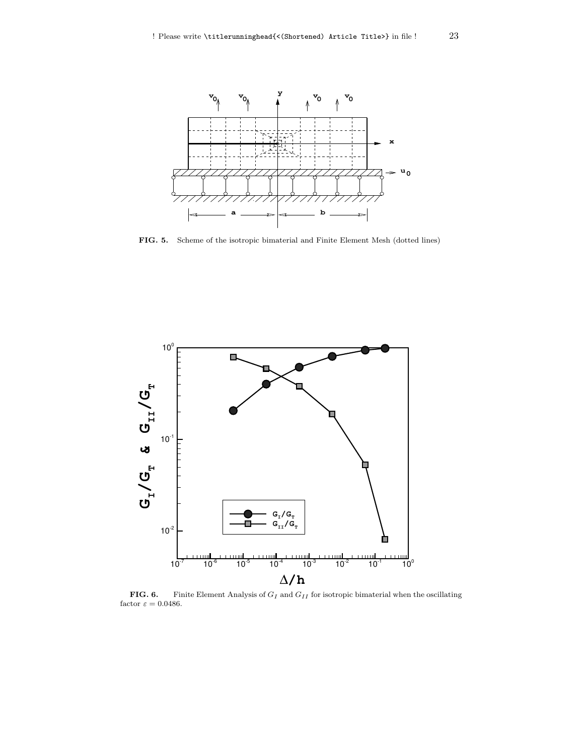

FIG. 5. Scheme of the isotropic bimaterial and Finite Element Mesh (dotted lines)



**FIG. 6.** Finite Element Analysis of  $G_I$  and  $G_{II}$  for isotropic bimaterial when the oscillating factor  $\varepsilon = 0.0486$ .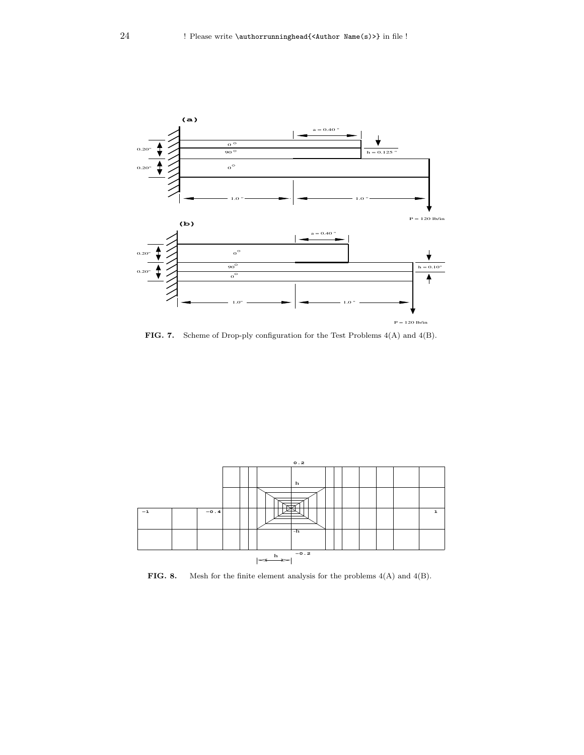

FIG. 7. Scheme of Drop-ply configuration for the Test Problems 4(A) and 4(B).



**FIG. 8.** Mesh for the finite element analysis for the problems  $4(A)$  and  $4(B)$ .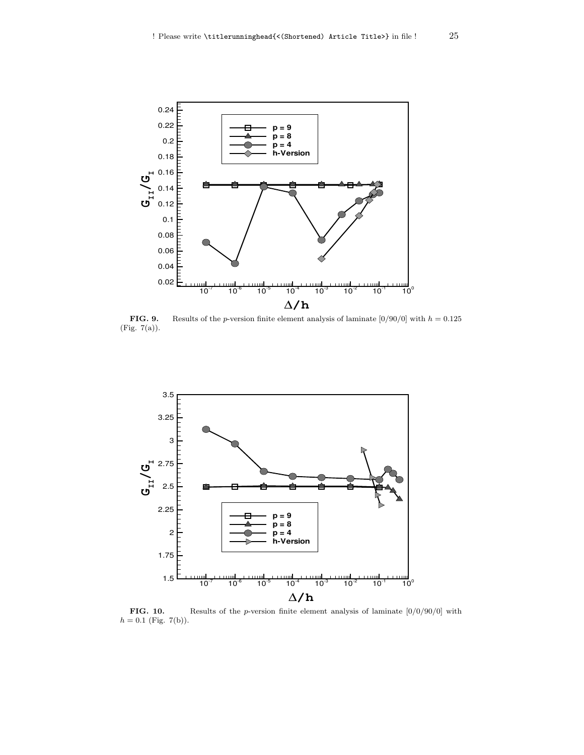

**FIG. 9.** Results of the *p*-version finite element analysis of laminate  $[0/90/0]$  with  $h = 0.125$ (Fig. 7(a)).



FIG. 10. Results of the *p*-version finite element analysis of laminate  $[0/0/90/0]$  with  $h = 0.1$  (Fig. 7(b)).